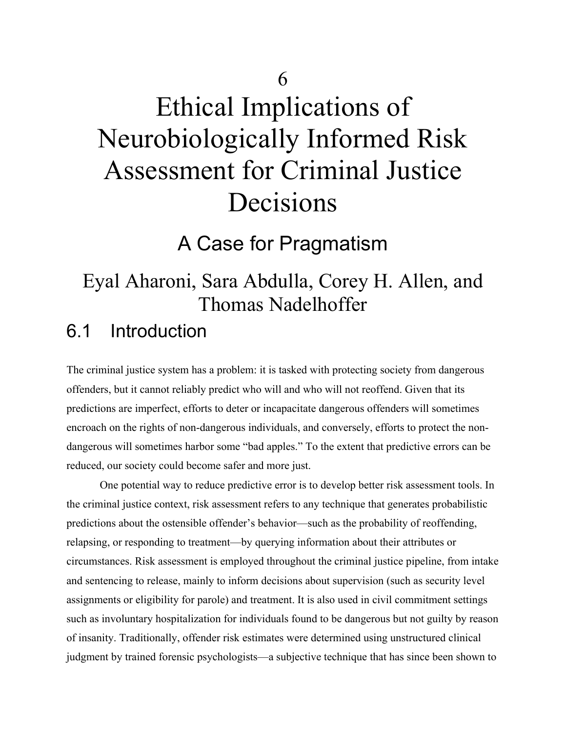# Ethical Implications of Neurobiologically Informed Risk Assessment for Criminal Justice Decisions

A Case for Pragmatism

## Eyal Aharoni, Sara Abdulla, Corey H. Allen, and Thomas Nadelhoffer

## 6.1 Introduction

The criminal justice system has a problem: it is tasked with protecting society from dangerous offenders, but it cannot reliably predict who will and who will not reoffend. Given that its predictions are imperfect, efforts to deter or incapacitate dangerous offenders will sometimes encroach on the rights of non-dangerous individuals, and conversely, efforts to protect the nondangerous will sometimes harbor some "bad apples." To the extent that predictive errors can be reduced, our society could become safer and more just.

One potential way to reduce predictive error is to develop better risk assessment tools. In the criminal justice context, risk assessment refers to any technique that generates probabilistic predictions about the ostensible offender's behavior—such as the probability of reoffending, relapsing, or responding to treatment—by querying information about their attributes or circumstances. Risk assessment is employed throughout the criminal justice pipeline, from intake and sentencing to release, mainly to inform decisions about supervision (such as security level assignments or eligibility for parole) and treatment. It is also used in civil commitment settings such as involuntary hospitalization for individuals found to be dangerous but not guilty by reason of insanity. Traditionally, offender risk estimates were determined using unstructured clinical judgment by trained forensic psychologists—a subjective technique that has since been shown to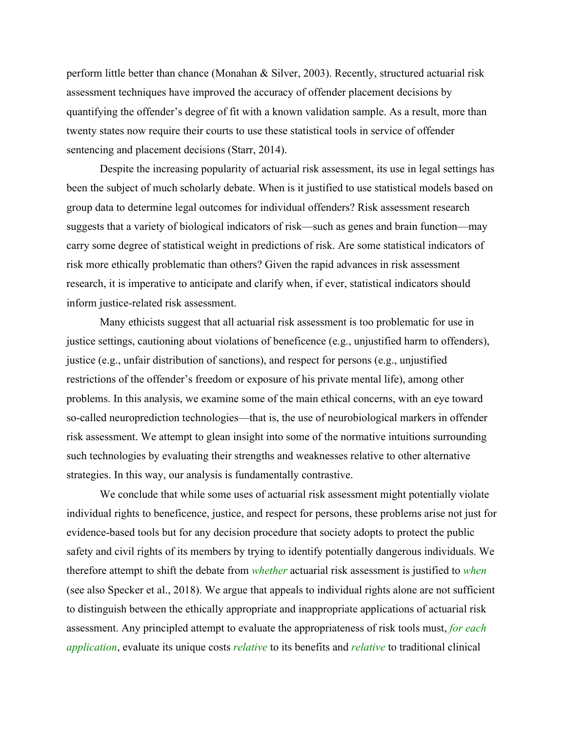perform little better than chance (Monahan & Silver, 2003). Recently, structured actuarial risk assessment techniques have improved the accuracy of offender placement decisions by quantifying the offender's degree of fit with a known validation sample. As a result, more than twenty states now require their courts to use these statistical tools in service of offender sentencing and placement decisions (Starr, 2014).

Despite the increasing popularity of actuarial risk assessment, its use in legal settings has been the subject of much scholarly debate. When is it justified to use statistical models based on group data to determine legal outcomes for individual offenders? Risk assessment research suggests that a variety of biological indicators of risk—such as genes and brain function—may carry some degree of statistical weight in predictions of risk. Are some statistical indicators of risk more ethically problematic than others? Given the rapid advances in risk assessment research, it is imperative to anticipate and clarify when, if ever, statistical indicators should inform justice-related risk assessment.

Many ethicists suggest that all actuarial risk assessment is too problematic for use in justice settings, cautioning about violations of beneficence (e.g., unjustified harm to offenders), justice (e.g., unfair distribution of sanctions), and respect for persons (e.g., unjustified restrictions of the offender's freedom or exposure of his private mental life), among other problems. In this analysis, we examine some of the main ethical concerns, with an eye toward so-called neuroprediction technologies—that is, the use of neurobiological markers in offender risk assessment. We attempt to glean insight into some of the normative intuitions surrounding such technologies by evaluating their strengths and weaknesses relative to other alternative strategies. In this way, our analysis is fundamentally contrastive.

We conclude that while some uses of actuarial risk assessment might potentially violate individual rights to beneficence, justice, and respect for persons, these problems arise not just for evidence-based tools but for any decision procedure that society adopts to protect the public safety and civil rights of its members by trying to identify potentially dangerous individuals. We therefore attempt to shift the debate from *whether* actuarial risk assessment is justified to *when* (see also Specker et al., 2018). We argue that appeals to individual rights alone are not sufficient to distinguish between the ethically appropriate and inappropriate applications of actuarial risk assessment. Any principled attempt to evaluate the appropriateness of risk tools must, *for each application*, evaluate its unique costs *relative* to its benefits and *relative* to traditional clinical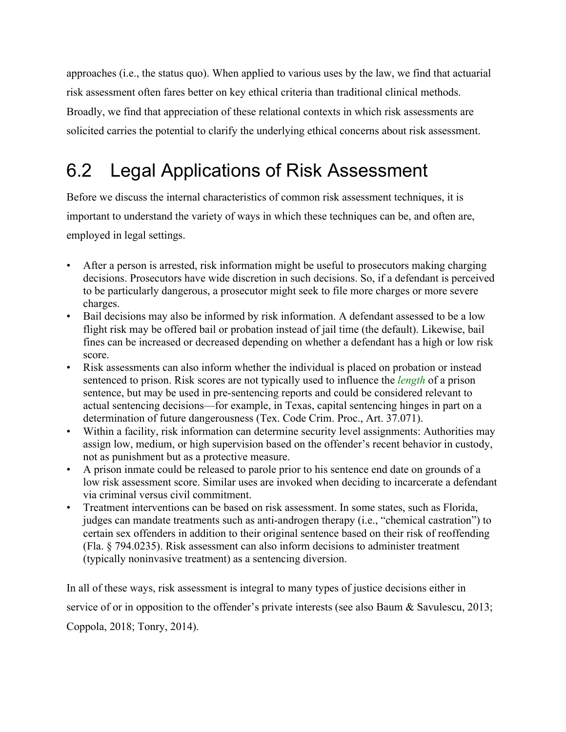approaches (i.e., the status quo). When applied to various uses by the law, we find that actuarial risk assessment often fares better on key ethical criteria than traditional clinical methods. Broadly, we find that appreciation of these relational contexts in which risk assessments are solicited carries the potential to clarify the underlying ethical concerns about risk assessment.

# 6.2 Legal Applications of Risk Assessment

Before we discuss the internal characteristics of common risk assessment techniques, it is important to understand the variety of ways in which these techniques can be, and often are, employed in legal settings.

- After a person is arrested, risk information might be useful to prosecutors making charging decisions. Prosecutors have wide discretion in such decisions. So, if a defendant is perceived to be particularly dangerous, a prosecutor might seek to file more charges or more severe charges.
- Bail decisions may also be informed by risk information. A defendant assessed to be a low flight risk may be offered bail or probation instead of jail time (the default). Likewise, bail fines can be increased or decreased depending on whether a defendant has a high or low risk score.
- Risk assessments can also inform whether the individual is placed on probation or instead sentenced to prison. Risk scores are not typically used to influence the *length* of a prison sentence, but may be used in pre-sentencing reports and could be considered relevant to actual sentencing decisions—for example, in Texas, capital sentencing hinges in part on a determination of future dangerousness (Tex. Code Crim. Proc., Art. 37.071).
- Within a facility, risk information can determine security level assignments: Authorities may assign low, medium, or high supervision based on the offender's recent behavior in custody, not as punishment but as a protective measure.
- A prison inmate could be released to parole prior to his sentence end date on grounds of a low risk assessment score. Similar uses are invoked when deciding to incarcerate a defendant via criminal versus civil commitment.
- Treatment interventions can be based on risk assessment. In some states, such as Florida, judges can mandate treatments such as anti-androgen therapy (i.e., "chemical castration") to certain sex offenders in addition to their original sentence based on their risk of reoffending (Fla. § 794.0235). Risk assessment can also inform decisions to administer treatment (typically noninvasive treatment) as a sentencing diversion.

In all of these ways, risk assessment is integral to many types of justice decisions either in service of or in opposition to the offender's private interests (see also Baum & Savulescu, 2013; Coppola, 2018; Tonry, 2014).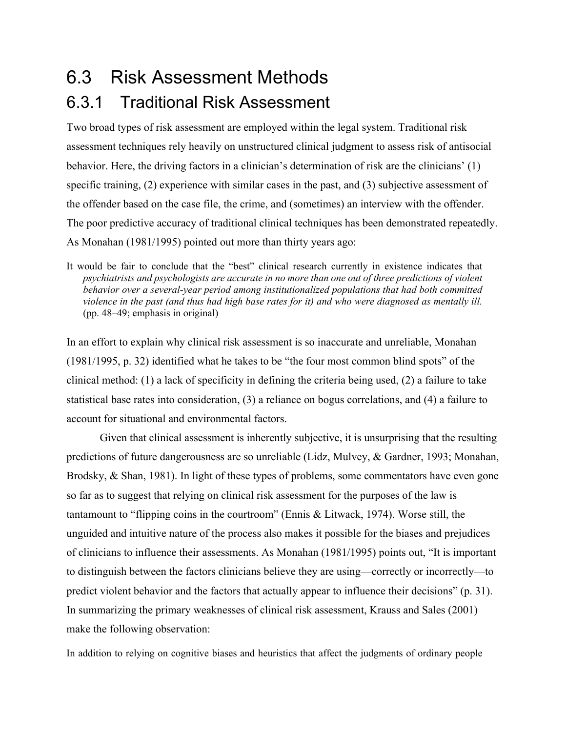## 6.3 Risk Assessment Methods

## 6.3.1 Traditional Risk Assessment

Two broad types of risk assessment are employed within the legal system. Traditional risk assessment techniques rely heavily on unstructured clinical judgment to assess risk of antisocial behavior. Here, the driving factors in a clinician's determination of risk are the clinicians' (1) specific training, (2) experience with similar cases in the past, and (3) subjective assessment of the offender based on the case file, the crime, and (sometimes) an interview with the offender. The poor predictive accuracy of traditional clinical techniques has been demonstrated repeatedly. As Monahan (1981/1995) pointed out more than thirty years ago:

It would be fair to conclude that the "best" clinical research currently in existence indicates that *psychiatrists and psychologists are accurate in no more than one out of three predictions of violent behavior over a several-year period among institutionalized populations that had both committed violence in the past (and thus had high base rates for it) and who were diagnosed as mentally ill.* (pp. 48–49; emphasis in original)

In an effort to explain why clinical risk assessment is so inaccurate and unreliable, Monahan (1981/1995, p. 32) identified what he takes to be "the four most common blind spots" of the clinical method: (1) a lack of specificity in defining the criteria being used, (2) a failure to take statistical base rates into consideration, (3) a reliance on bogus correlations, and (4) a failure to account for situational and environmental factors.

Given that clinical assessment is inherently subjective, it is unsurprising that the resulting predictions of future dangerousness are so unreliable (Lidz, Mulvey, & Gardner, 1993; Monahan, Brodsky, & Shan, 1981). In light of these types of problems, some commentators have even gone so far as to suggest that relying on clinical risk assessment for the purposes of the law is tantamount to "flipping coins in the courtroom" (Ennis & Litwack, 1974). Worse still, the unguided and intuitive nature of the process also makes it possible for the biases and prejudices of clinicians to influence their assessments. As Monahan (1981/1995) points out, "It is important to distinguish between the factors clinicians believe they are using—correctly or incorrectly—to predict violent behavior and the factors that actually appear to influence their decisions" (p. 31). In summarizing the primary weaknesses of clinical risk assessment, Krauss and Sales (2001) make the following observation:

In addition to relying on cognitive biases and heuristics that affect the judgments of ordinary people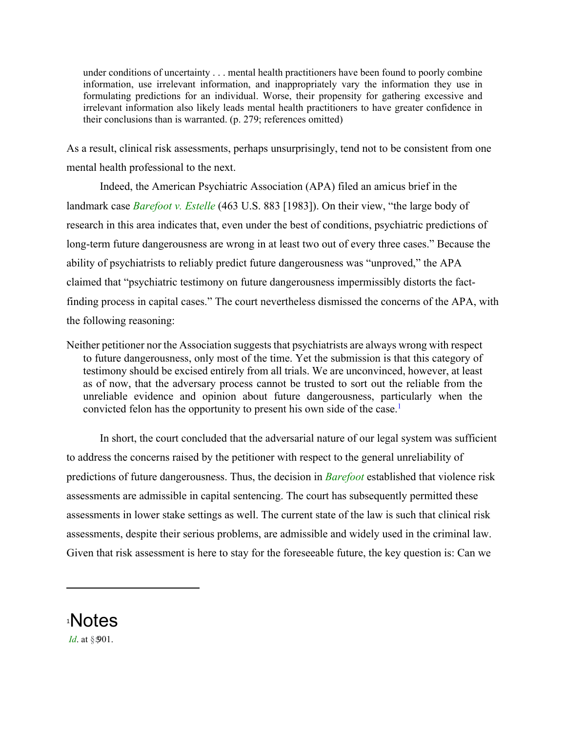under conditions of uncertainty . . . mental health practitioners have been found to poorly combine information, use irrelevant information, and inappropriately vary the information they use in formulating predictions for an individual. Worse, their propensity for gathering excessive and irrelevant information also likely leads mental health practitioners to have greater confidence in their conclusions than is warranted. (p. 279; references omitted)

As a result, clinical risk assessments, perhaps unsurprisingly, tend not to be consistent from one mental health professional to the next.

Indeed, the American Psychiatric Association (APA) filed an amicus brief in the landmark case *Barefoot v. Estelle* (463 U.S. 883 [1983]). On their view, "the large body of research in this area indicates that, even under the best of conditions, psychiatric predictions of long-term future dangerousness are wrong in at least two out of every three cases." Because the ability of psychiatrists to reliably predict future dangerousness was "unproved," the APA claimed that "psychiatric testimony on future dangerousness impermissibly distorts the factfinding process in capital cases." The court nevertheless dismissed the concerns of the APA, with the following reasoning:

Neither petitioner nor the Association suggests that psychiatrists are always wrong with respect to future dangerousness, only most of the time. Yet the submission is that this category of testimony should be excised entirely from all trials. We are unconvinced, however, at least as of now, that the adversary process cannot be trusted to sort out the reliable from the unreliable evidence and opinion about future dangerousness, particularly when the convicted felon has the opportunity to present his own side of the case.<sup>1</sup>

In short, the court concluded that the adversarial nature of our legal system was sufficient to address the concerns raised by the petitioner with respect to the general unreliability of predictions of future dangerousness. Thus, the decision in *Barefoot* established that violence risk assessments are admissible in capital sentencing. The court has subsequently permitted these assessments in lower stake settings as well. The current state of the law is such that clinical risk assessments, despite their serious problems, are admissible and widely used in the criminal law. Given that risk assessment is here to stay for the foreseeable future, the key question is: Can we

1 Notes *Id.* at §901.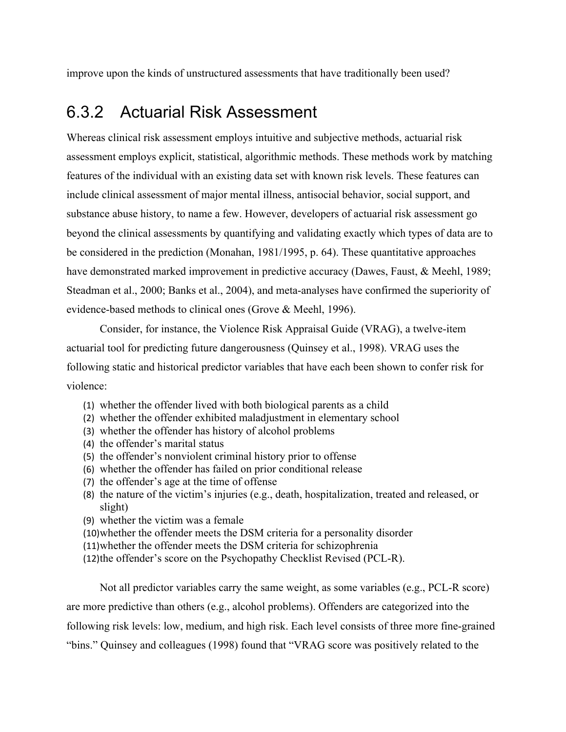improve upon the kinds of unstructured assessments that have traditionally been used?

#### 6.3.2 Actuarial Risk Assessment

Whereas clinical risk assessment employs intuitive and subjective methods, actuarial risk assessment employs explicit, statistical, algorithmic methods. These methods work by matching features of the individual with an existing data set with known risk levels. These features can include clinical assessment of major mental illness, antisocial behavior, social support, and substance abuse history, to name a few. However, developers of actuarial risk assessment go beyond the clinical assessments by quantifying and validating exactly which types of data are to be considered in the prediction (Monahan, 1981/1995, p. 64). These quantitative approaches have demonstrated marked improvement in predictive accuracy (Dawes, Faust, & Meehl, 1989; Steadman et al., 2000; Banks et al., 2004), and meta-analyses have confirmed the superiority of evidence-based methods to clinical ones (Grove & Meehl, 1996).

Consider, for instance, the Violence Risk Appraisal Guide (VRAG), a twelve-item actuarial tool for predicting future dangerousness (Quinsey et al., 1998). VRAG uses the following static and historical predictor variables that have each been shown to confer risk for violence:

- (1) whether the offender lived with both biological parents as a child
- (2) whether the offender exhibited maladjustment in elementary school
- (3) whether the offender has history of alcohol problems
- (4) the offender's marital status
- (5) the offender's nonviolent criminal history prior to offense
- (6) whether the offender has failed on prior conditional release
- (7) the offender's age at the time of offense
- (8) the nature of the victim's injuries (e.g., death, hospitalization, treated and released, or slight)
- (9) whether the victim was a female
- (10)whether the offender meets the DSM criteria for a personality disorder
- (11)whether the offender meets the DSM criteria for schizophrenia
- (12)the offender's score on the Psychopathy Checklist Revised (PCL-R).

Not all predictor variables carry the same weight, as some variables (e.g., PCL-R score) are more predictive than others (e.g., alcohol problems). Offenders are categorized into the following risk levels: low, medium, and high risk. Each level consists of three more fine-grained "bins." Quinsey and colleagues (1998) found that "VRAG score was positively related to the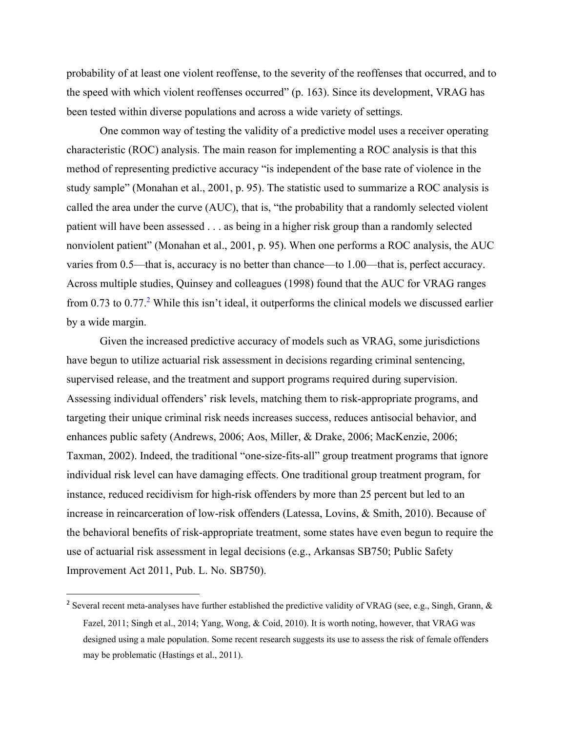probability of at least one violent reoffense, to the severity of the reoffenses that occurred, and to the speed with which violent reoffenses occurred" (p. 163). Since its development, VRAG has been tested within diverse populations and across a wide variety of settings.

One common way of testing the validity of a predictive model uses a receiver operating characteristic (ROC) analysis. The main reason for implementing a ROC analysis is that this method of representing predictive accuracy "is independent of the base rate of violence in the study sample" (Monahan et al., 2001, p. 95). The statistic used to summarize a ROC analysis is called the area under the curve (AUC), that is, "the probability that a randomly selected violent patient will have been assessed . . . as being in a higher risk group than a randomly selected nonviolent patient" (Monahan et al., 2001, p. 95). When one performs a ROC analysis, the AUC varies from 0.5—that is, accuracy is no better than chance—to 1.00—that is, perfect accuracy. Across multiple studies, Quinsey and colleagues (1998) found that the AUC for VRAG ranges from 0.73 to  $0.77<sup>2</sup>$  While this isn't ideal, it outperforms the clinical models we discussed earlier by a wide margin.

Given the increased predictive accuracy of models such as VRAG, some jurisdictions have begun to utilize actuarial risk assessment in decisions regarding criminal sentencing, supervised release, and the treatment and support programs required during supervision. Assessing individual offenders' risk levels, matching them to risk-appropriate programs, and targeting their unique criminal risk needs increases success, reduces antisocial behavior, and enhances public safety (Andrews, 2006; Aos, Miller, & Drake, 2006; MacKenzie, 2006; Taxman, 2002). Indeed, the traditional "one-size-fits-all" group treatment programs that ignore individual risk level can have damaging effects. One traditional group treatment program, for instance, reduced recidivism for high-risk offenders by more than 25 percent but led to an increase in reincarceration of low-risk offenders (Latessa, Lovins, & Smith, 2010). Because of the behavioral benefits of risk-appropriate treatment, some states have even begun to require the use of actuarial risk assessment in legal decisions (e.g., Arkansas SB750; Public Safety Improvement Act 2011, Pub. L. No. SB750).

<sup>&</sup>lt;sup>2</sup> Several recent meta-analyses have further established the predictive validity of VRAG (see, e.g., Singh, Grann, & Fazel, 2011; Singh et al., 2014; Yang, Wong, & Coid, 2010). It is worth noting, however, that VRAG was designed using a male population. Some recent research suggests its use to assess the risk of female offenders may be problematic (Hastings et al., 2011).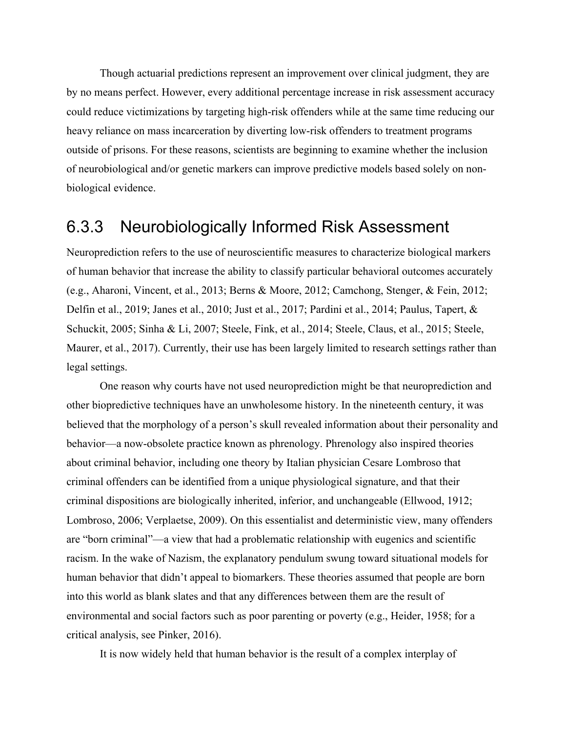Though actuarial predictions represent an improvement over clinical judgment, they are by no means perfect. However, every additional percentage increase in risk assessment accuracy could reduce victimizations by targeting high-risk offenders while at the same time reducing our heavy reliance on mass incarceration by diverting low-risk offenders to treatment programs outside of prisons. For these reasons, scientists are beginning to examine whether the inclusion of neurobiological and/or genetic markers can improve predictive models based solely on nonbiological evidence.

#### 6.3.3 Neurobiologically Informed Risk Assessment

Neuroprediction refers to the use of neuroscientific measures to characterize biological markers of human behavior that increase the ability to classify particular behavioral outcomes accurately (e.g., Aharoni, Vincent, et al., 2013; Berns & Moore, 2012; Camchong, Stenger, & Fein, 2012; Delfin et al., 2019; Janes et al., 2010; Just et al., 2017; Pardini et al., 2014; Paulus, Tapert, & Schuckit, 2005; Sinha & Li, 2007; Steele, Fink, et al., 2014; Steele, Claus, et al., 2015; Steele, Maurer, et al., 2017). Currently, their use has been largely limited to research settings rather than legal settings.

One reason why courts have not used neuroprediction might be that neuroprediction and other biopredictive techniques have an unwholesome history. In the nineteenth century, it was believed that the morphology of a person's skull revealed information about their personality and behavior—a now-obsolete practice known as phrenology. Phrenology also inspired theories about criminal behavior, including one theory by Italian physician Cesare Lombroso that criminal offenders can be identified from a unique physiological signature, and that their criminal dispositions are biologically inherited, inferior, and unchangeable (Ellwood, 1912; Lombroso, 2006; Verplaetse, 2009). On this essentialist and deterministic view, many offenders are "born criminal"—a view that had a problematic relationship with eugenics and scientific racism. In the wake of Nazism, the explanatory pendulum swung toward situational models for human behavior that didn't appeal to biomarkers. These theories assumed that people are born into this world as blank slates and that any differences between them are the result of environmental and social factors such as poor parenting or poverty (e.g., Heider, 1958; for a critical analysis, see Pinker, 2016).

It is now widely held that human behavior is the result of a complex interplay of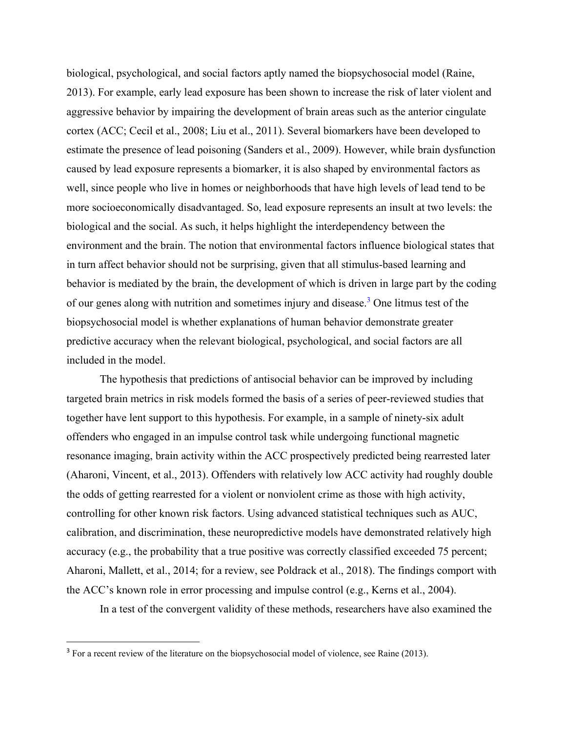biological, psychological, and social factors aptly named the biopsychosocial model (Raine, 2013). For example, early lead exposure has been shown to increase the risk of later violent and aggressive behavior by impairing the development of brain areas such as the anterior cingulate cortex (ACC; Cecil et al., 2008; Liu et al., 2011). Several biomarkers have been developed to estimate the presence of lead poisoning (Sanders et al., 2009). However, while brain dysfunction caused by lead exposure represents a biomarker, it is also shaped by environmental factors as well, since people who live in homes or neighborhoods that have high levels of lead tend to be more socioeconomically disadvantaged. So, lead exposure represents an insult at two levels: the biological and the social. As such, it helps highlight the interdependency between the environment and the brain. The notion that environmental factors influence biological states that in turn affect behavior should not be surprising, given that all stimulus-based learning and behavior is mediated by the brain, the development of which is driven in large part by the coding of our genes along with nutrition and sometimes injury and disease.<sup>3</sup> One litmus test of the biopsychosocial model is whether explanations of human behavior demonstrate greater predictive accuracy when the relevant biological, psychological, and social factors are all included in the model.

The hypothesis that predictions of antisocial behavior can be improved by including targeted brain metrics in risk models formed the basis of a series of peer-reviewed studies that together have lent support to this hypothesis. For example, in a sample of ninety-six adult offenders who engaged in an impulse control task while undergoing functional magnetic resonance imaging, brain activity within the ACC prospectively predicted being rearrested later (Aharoni, Vincent, et al., 2013). Offenders with relatively low ACC activity had roughly double the odds of getting rearrested for a violent or nonviolent crime as those with high activity, controlling for other known risk factors. Using advanced statistical techniques such as AUC, calibration, and discrimination, these neuropredictive models have demonstrated relatively high accuracy (e.g., the probability that a true positive was correctly classified exceeded 75 percent; Aharoni, Mallett, et al., 2014; for a review, see Poldrack et al., 2018). The findings comport with the ACC's known role in error processing and impulse control (e.g., Kerns et al., 2004).

In a test of the convergent validity of these methods, researchers have also examined the

 $3$  For a recent review of the literature on the biopsychosocial model of violence, see Raine (2013).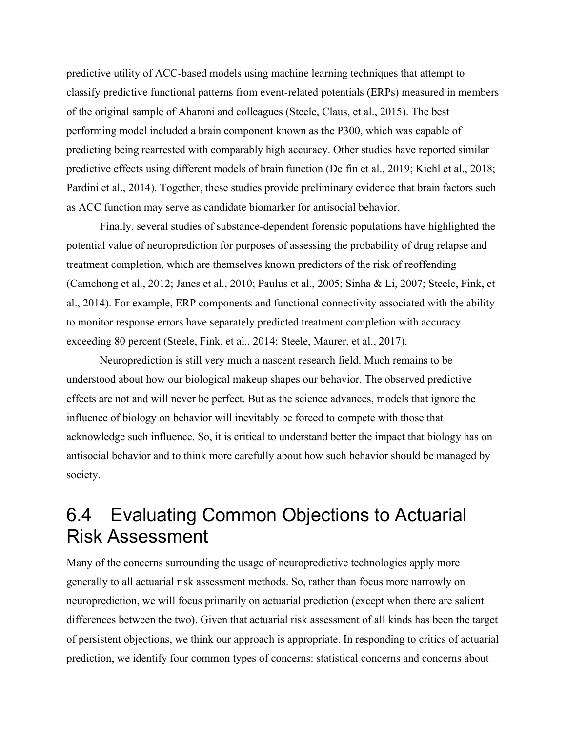predictive utility of ACC-based models using machine learning techniques that attempt to classify predictive functional patterns from event-related potentials (ERPs) measured in members of the original sample of Aharoni and colleagues (Steele, Claus, et al., 2015). The best performing model included a brain component known as the P300, which was capable of predicting being rearrested with comparably high accuracy. Other studies have reported similar predictive effects using different models of brain function (Delfin et al., 2019; Kiehl et al., 2018; Pardini et al., 2014). Together, these studies provide preliminary evidence that brain factors such as ACC function may serve as candidate biomarker for antisocial behavior.

Finally, several studies of substance-dependent forensic populations have highlighted the potential value of neuroprediction for purposes of assessing the probability of drug relapse and treatment completion, which are themselves known predictors of the risk of reoffending (Camchong et al., 2012; Janes et al., 2010; Paulus et al., 2005; Sinha & Li, 2007; Steele, Fink, et al., 2014). For example, ERP components and functional connectivity associated with the ability to monitor response errors have separately predicted treatment completion with accuracy exceeding 80 percent (Steele, Fink, et al., 2014; Steele, Maurer, et al., 2017).

Neuroprediction is still very much a nascent research field. Much remains to be understood about how our biological makeup shapes our behavior. The observed predictive effects are not and will never be perfect. But as the science advances, models that ignore the influence of biology on behavior will inevitably be forced to compete with those that acknowledge such influence. So, it is critical to understand better the impact that biology has on antisocial behavior and to think more carefully about how such behavior should be managed by society.

## 6.4 Evaluating Common Objections to Actuarial Risk Assessment

Many of the concerns surrounding the usage of neuropredictive technologies apply more generally to all actuarial risk assessment methods. So, rather than focus more narrowly on neuroprediction, we will focus primarily on actuarial prediction (except when there are salient differences between the two). Given that actuarial risk assessment of all kinds has been the target of persistent objections, we think our approach is appropriate. In responding to critics of actuarial prediction, we identify four common types of concerns: statistical concerns and concerns about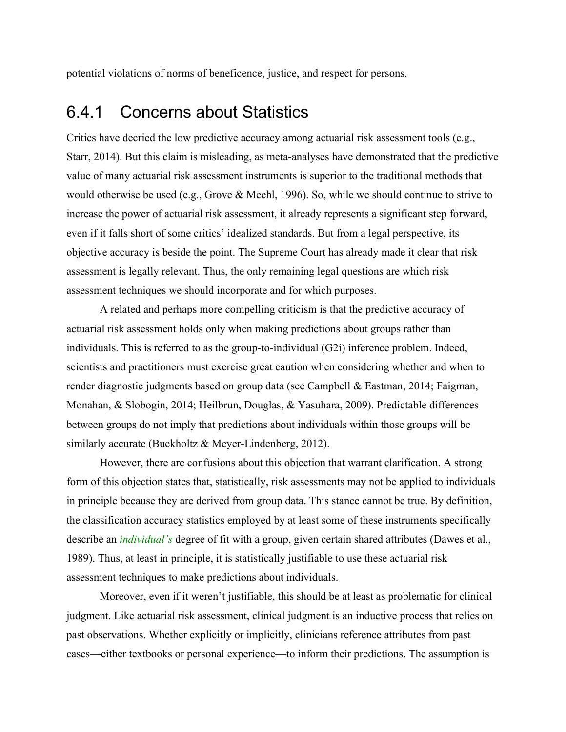potential violations of norms of beneficence, justice, and respect for persons.

#### 6.4.1 Concerns about Statistics

Critics have decried the low predictive accuracy among actuarial risk assessment tools (e.g., Starr, 2014). But this claim is misleading, as meta-analyses have demonstrated that the predictive value of many actuarial risk assessment instruments is superior to the traditional methods that would otherwise be used (e.g., Grove & Meehl, 1996). So, while we should continue to strive to increase the power of actuarial risk assessment, it already represents a significant step forward, even if it falls short of some critics' idealized standards. But from a legal perspective, its objective accuracy is beside the point. The Supreme Court has already made it clear that risk assessment is legally relevant. Thus, the only remaining legal questions are which risk assessment techniques we should incorporate and for which purposes.

A related and perhaps more compelling criticism is that the predictive accuracy of actuarial risk assessment holds only when making predictions about groups rather than individuals. This is referred to as the group-to-individual (G2i) inference problem. Indeed, scientists and practitioners must exercise great caution when considering whether and when to render diagnostic judgments based on group data (see Campbell & Eastman, 2014; Faigman, Monahan, & Slobogin, 2014; Heilbrun, Douglas, & Yasuhara, 2009). Predictable differences between groups do not imply that predictions about individuals within those groups will be similarly accurate (Buckholtz & Meyer-Lindenberg, 2012).

However, there are confusions about this objection that warrant clarification. A strong form of this objection states that, statistically, risk assessments may not be applied to individuals in principle because they are derived from group data. This stance cannot be true. By definition, the classification accuracy statistics employed by at least some of these instruments specifically describe an *individual's* degree of fit with a group, given certain shared attributes (Dawes et al., 1989). Thus, at least in principle, it is statistically justifiable to use these actuarial risk assessment techniques to make predictions about individuals.

Moreover, even if it weren't justifiable, this should be at least as problematic for clinical judgment. Like actuarial risk assessment, clinical judgment is an inductive process that relies on past observations. Whether explicitly or implicitly, clinicians reference attributes from past cases—either textbooks or personal experience—to inform their predictions. The assumption is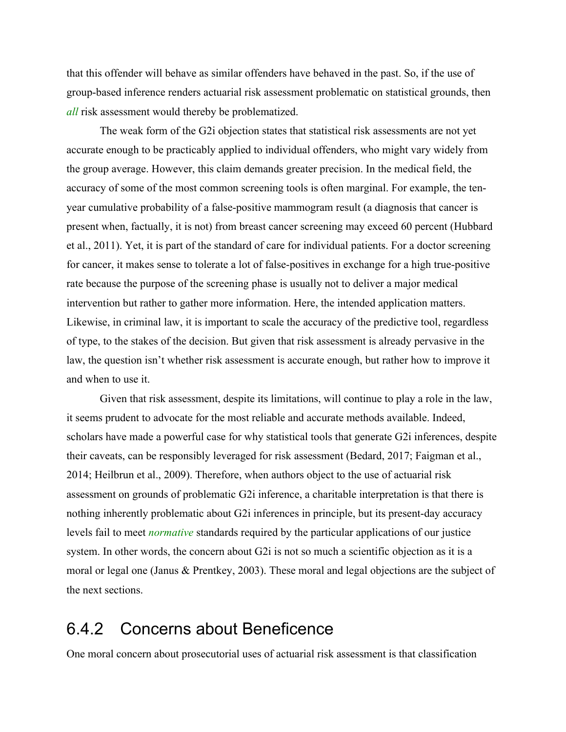that this offender will behave as similar offenders have behaved in the past. So, if the use of group-based inference renders actuarial risk assessment problematic on statistical grounds, then *all* risk assessment would thereby be problematized.

The weak form of the G2i objection states that statistical risk assessments are not yet accurate enough to be practicably applied to individual offenders, who might vary widely from the group average. However, this claim demands greater precision. In the medical field, the accuracy of some of the most common screening tools is often marginal. For example, the tenyear cumulative probability of a false-positive mammogram result (a diagnosis that cancer is present when, factually, it is not) from breast cancer screening may exceed 60 percent (Hubbard et al., 2011). Yet, it is part of the standard of care for individual patients. For a doctor screening for cancer, it makes sense to tolerate a lot of false-positives in exchange for a high true-positive rate because the purpose of the screening phase is usually not to deliver a major medical intervention but rather to gather more information. Here, the intended application matters. Likewise, in criminal law, it is important to scale the accuracy of the predictive tool, regardless of type, to the stakes of the decision. But given that risk assessment is already pervasive in the law, the question isn't whether risk assessment is accurate enough, but rather how to improve it and when to use it.

Given that risk assessment, despite its limitations, will continue to play a role in the law, it seems prudent to advocate for the most reliable and accurate methods available. Indeed, scholars have made a powerful case for why statistical tools that generate G2i inferences, despite their caveats, can be responsibly leveraged for risk assessment (Bedard, 2017; Faigman et al., 2014; Heilbrun et al., 2009). Therefore, when authors object to the use of actuarial risk assessment on grounds of problematic G2i inference, a charitable interpretation is that there is nothing inherently problematic about G2i inferences in principle, but its present-day accuracy levels fail to meet *normative* standards required by the particular applications of our justice system. In other words, the concern about G2i is not so much a scientific objection as it is a moral or legal one (Janus & Prentkey, 2003). These moral and legal objections are the subject of the next sections.

#### 6.4.2 Concerns about Beneficence

One moral concern about prosecutorial uses of actuarial risk assessment is that classification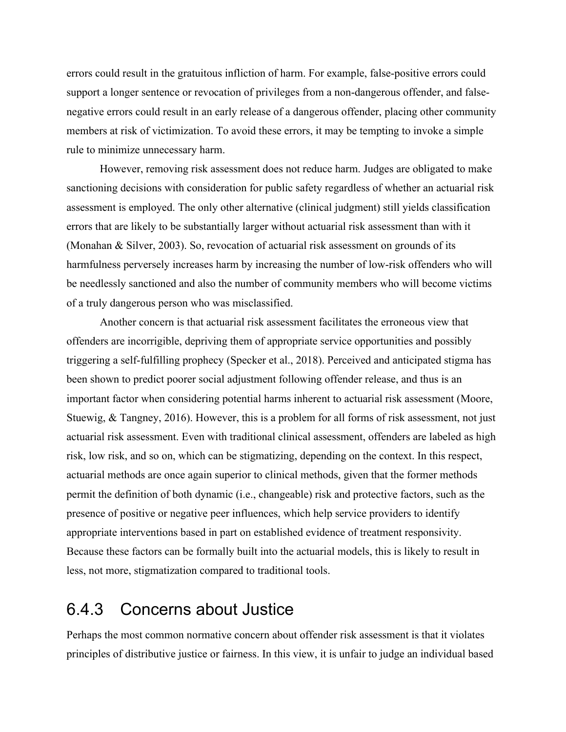errors could result in the gratuitous infliction of harm. For example, false-positive errors could support a longer sentence or revocation of privileges from a non-dangerous offender, and falsenegative errors could result in an early release of a dangerous offender, placing other community members at risk of victimization. To avoid these errors, it may be tempting to invoke a simple rule to minimize unnecessary harm.

However, removing risk assessment does not reduce harm. Judges are obligated to make sanctioning decisions with consideration for public safety regardless of whether an actuarial risk assessment is employed. The only other alternative (clinical judgment) still yields classification errors that are likely to be substantially larger without actuarial risk assessment than with it (Monahan & Silver, 2003). So, revocation of actuarial risk assessment on grounds of its harmfulness perversely increases harm by increasing the number of low-risk offenders who will be needlessly sanctioned and also the number of community members who will become victims of a truly dangerous person who was misclassified.

Another concern is that actuarial risk assessment facilitates the erroneous view that offenders are incorrigible, depriving them of appropriate service opportunities and possibly triggering a self-fulfilling prophecy (Specker et al., 2018). Perceived and anticipated stigma has been shown to predict poorer social adjustment following offender release, and thus is an important factor when considering potential harms inherent to actuarial risk assessment (Moore, Stuewig, & Tangney, 2016). However, this is a problem for all forms of risk assessment, not just actuarial risk assessment. Even with traditional clinical assessment, offenders are labeled as high risk, low risk, and so on, which can be stigmatizing, depending on the context. In this respect, actuarial methods are once again superior to clinical methods, given that the former methods permit the definition of both dynamic (i.e., changeable) risk and protective factors, such as the presence of positive or negative peer influences, which help service providers to identify appropriate interventions based in part on established evidence of treatment responsivity. Because these factors can be formally built into the actuarial models, this is likely to result in less, not more, stigmatization compared to traditional tools.

#### 6.4.3 Concerns about Justice

Perhaps the most common normative concern about offender risk assessment is that it violates principles of distributive justice or fairness. In this view, it is unfair to judge an individual based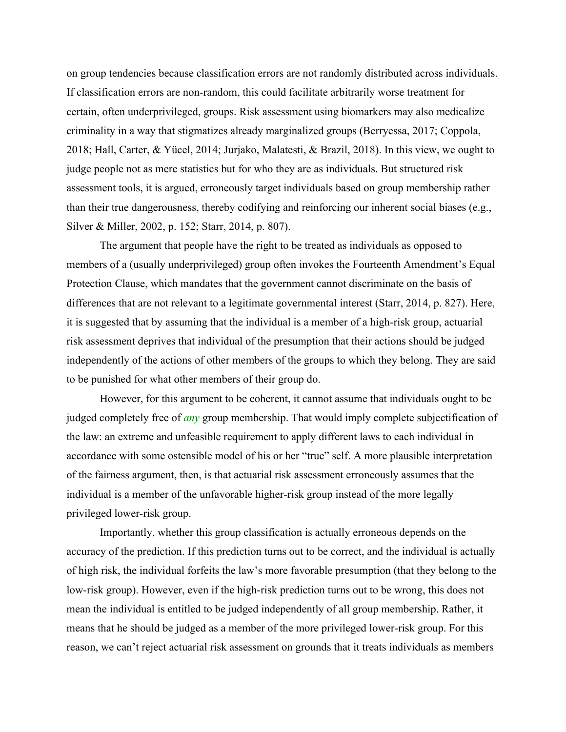on group tendencies because classification errors are not randomly distributed across individuals. If classification errors are non-random, this could facilitate arbitrarily worse treatment for certain, often underprivileged, groups. Risk assessment using biomarkers may also medicalize criminality in a way that stigmatizes already marginalized groups (Berryessa, 2017; Coppola, 2018; Hall, Carter, & Yücel, 2014; Jurjako, Malatesti, & Brazil, 2018). In this view, we ought to judge people not as mere statistics but for who they are as individuals. But structured risk assessment tools, it is argued, erroneously target individuals based on group membership rather than their true dangerousness, thereby codifying and reinforcing our inherent social biases (e.g., Silver & Miller, 2002, p. 152; Starr, 2014, p. 807).

The argument that people have the right to be treated as individuals as opposed to members of a (usually underprivileged) group often invokes the Fourteenth Amendment's Equal Protection Clause, which mandates that the government cannot discriminate on the basis of differences that are not relevant to a legitimate governmental interest (Starr, 2014, p. 827). Here, it is suggested that by assuming that the individual is a member of a high-risk group, actuarial risk assessment deprives that individual of the presumption that their actions should be judged independently of the actions of other members of the groups to which they belong. They are said to be punished for what other members of their group do.

However, for this argument to be coherent, it cannot assume that individuals ought to be judged completely free of *any* group membership. That would imply complete subjectification of the law: an extreme and unfeasible requirement to apply different laws to each individual in accordance with some ostensible model of his or her "true" self. A more plausible interpretation of the fairness argument, then, is that actuarial risk assessment erroneously assumes that the individual is a member of the unfavorable higher-risk group instead of the more legally privileged lower-risk group.

Importantly, whether this group classification is actually erroneous depends on the accuracy of the prediction. If this prediction turns out to be correct, and the individual is actually of high risk, the individual forfeits the law's more favorable presumption (that they belong to the low-risk group). However, even if the high-risk prediction turns out to be wrong, this does not mean the individual is entitled to be judged independently of all group membership. Rather, it means that he should be judged as a member of the more privileged lower-risk group. For this reason, we can't reject actuarial risk assessment on grounds that it treats individuals as members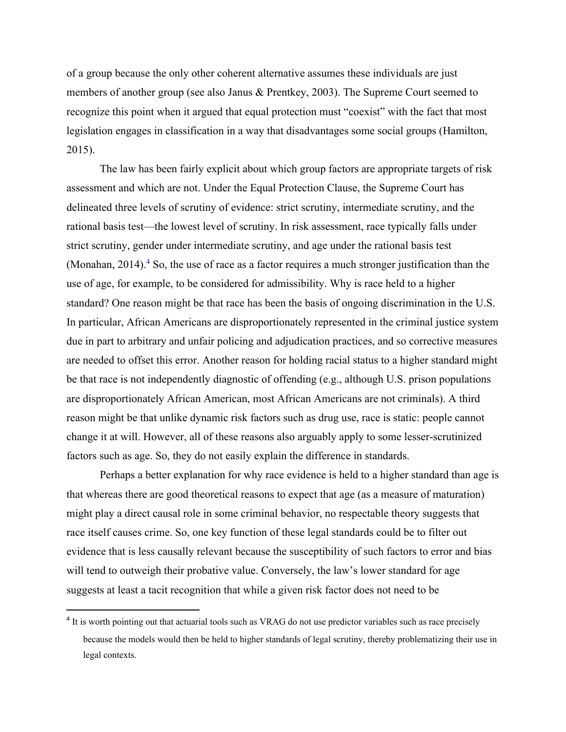of a group because the only other coherent alternative assumes these individuals are just members of another group (see also Janus & Prentkey, 2003). The Supreme Court seemed to recognize this point when it argued that equal protection must "coexist" with the fact that most legislation engages in classification in a way that disadvantages some social groups (Hamilton, 2015).

The law has been fairly explicit about which group factors are appropriate targets of risk assessment and which are not. Under the Equal Protection Clause, the Supreme Court has delineated three levels of scrutiny of evidence: strict scrutiny, intermediate scrutiny, and the rational basis test—the lowest level of scrutiny. In risk assessment, race typically falls under strict scrutiny, gender under intermediate scrutiny, and age under the rational basis test (Monahan, 2014).<sup>4</sup> So, the use of race as a factor requires a much stronger justification than the use of age, for example, to be considered for admissibility. Why is race held to a higher standard? One reason might be that race has been the basis of ongoing discrimination in the U.S. In particular, African Americans are disproportionately represented in the criminal justice system due in part to arbitrary and unfair policing and adjudication practices, and so corrective measures are needed to offset this error. Another reason for holding racial status to a higher standard might be that race is not independently diagnostic of offending (e.g., although U.S. prison populations are disproportionately African American, most African Americans are not criminals). A third reason might be that unlike dynamic risk factors such as drug use, race is static: people cannot change it at will. However, all of these reasons also arguably apply to some lesser-scrutinized factors such as age. So, they do not easily explain the difference in standards.

Perhaps a better explanation for why race evidence is held to a higher standard than age is that whereas there are good theoretical reasons to expect that age (as a measure of maturation) might play a direct causal role in some criminal behavior, no respectable theory suggests that race itself causes crime. So, one key function of these legal standards could be to filter out evidence that is less causally relevant because the susceptibility of such factors to error and bias will tend to outweigh their probative value. Conversely, the law's lower standard for age suggests at least a tacit recognition that while a given risk factor does not need to be

<sup>&</sup>lt;sup>4</sup> It is worth pointing out that actuarial tools such as VRAG do not use predictor variables such as race precisely because the models would then be held to higher standards of legal scrutiny, thereby problematizing their use in legal contexts.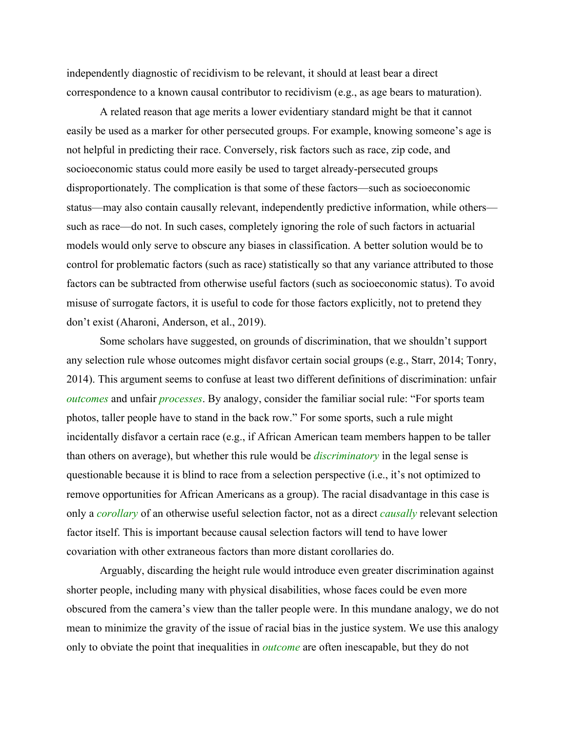independently diagnostic of recidivism to be relevant, it should at least bear a direct correspondence to a known causal contributor to recidivism (e.g., as age bears to maturation).

A related reason that age merits a lower evidentiary standard might be that it cannot easily be used as a marker for other persecuted groups. For example, knowing someone's age is not helpful in predicting their race. Conversely, risk factors such as race, zip code, and socioeconomic status could more easily be used to target already-persecuted groups disproportionately. The complication is that some of these factors—such as socioeconomic status—may also contain causally relevant, independently predictive information, while others such as race—do not. In such cases, completely ignoring the role of such factors in actuarial models would only serve to obscure any biases in classification. A better solution would be to control for problematic factors (such as race) statistically so that any variance attributed to those factors can be subtracted from otherwise useful factors (such as socioeconomic status). To avoid misuse of surrogate factors, it is useful to code for those factors explicitly, not to pretend they don't exist (Aharoni, Anderson, et al., 2019).

Some scholars have suggested, on grounds of discrimination, that we shouldn't support any selection rule whose outcomes might disfavor certain social groups (e.g., Starr, 2014; Tonry, 2014). This argument seems to confuse at least two different definitions of discrimination: unfair *outcomes* and unfair *processes*. By analogy, consider the familiar social rule: "For sports team photos, taller people have to stand in the back row." For some sports, such a rule might incidentally disfavor a certain race (e.g., if African American team members happen to be taller than others on average), but whether this rule would be *discriminatory* in the legal sense is questionable because it is blind to race from a selection perspective (i.e., it's not optimized to remove opportunities for African Americans as a group). The racial disadvantage in this case is only a *corollary* of an otherwise useful selection factor, not as a direct *causally* relevant selection factor itself. This is important because causal selection factors will tend to have lower covariation with other extraneous factors than more distant corollaries do.

Arguably, discarding the height rule would introduce even greater discrimination against shorter people, including many with physical disabilities, whose faces could be even more obscured from the camera's view than the taller people were. In this mundane analogy, we do not mean to minimize the gravity of the issue of racial bias in the justice system. We use this analogy only to obviate the point that inequalities in *outcome* are often inescapable, but they do not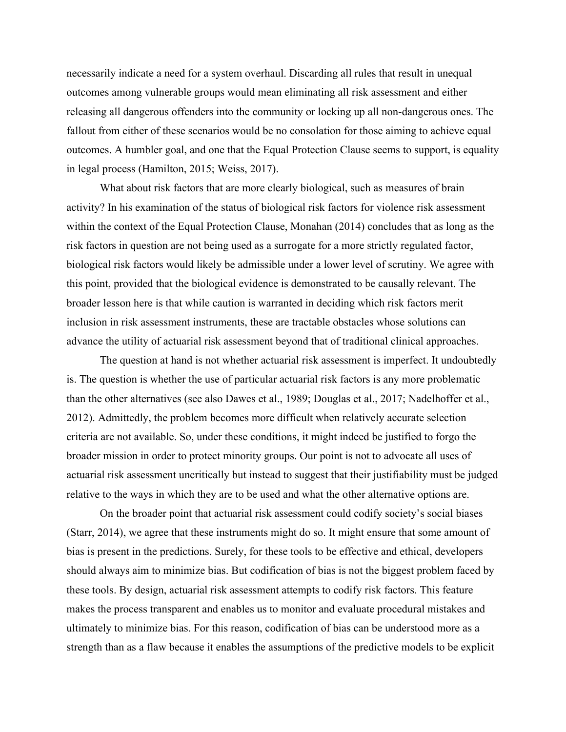necessarily indicate a need for a system overhaul. Discarding all rules that result in unequal outcomes among vulnerable groups would mean eliminating all risk assessment and either releasing all dangerous offenders into the community or locking up all non-dangerous ones. The fallout from either of these scenarios would be no consolation for those aiming to achieve equal outcomes. A humbler goal, and one that the Equal Protection Clause seems to support, is equality in legal process (Hamilton, 2015; Weiss, 2017).

What about risk factors that are more clearly biological, such as measures of brain activity? In his examination of the status of biological risk factors for violence risk assessment within the context of the Equal Protection Clause, Monahan (2014) concludes that as long as the risk factors in question are not being used as a surrogate for a more strictly regulated factor, biological risk factors would likely be admissible under a lower level of scrutiny. We agree with this point, provided that the biological evidence is demonstrated to be causally relevant. The broader lesson here is that while caution is warranted in deciding which risk factors merit inclusion in risk assessment instruments, these are tractable obstacles whose solutions can advance the utility of actuarial risk assessment beyond that of traditional clinical approaches.

The question at hand is not whether actuarial risk assessment is imperfect. It undoubtedly is. The question is whether the use of particular actuarial risk factors is any more problematic than the other alternatives (see also Dawes et al., 1989; Douglas et al., 2017; Nadelhoffer et al., 2012). Admittedly, the problem becomes more difficult when relatively accurate selection criteria are not available. So, under these conditions, it might indeed be justified to forgo the broader mission in order to protect minority groups. Our point is not to advocate all uses of actuarial risk assessment uncritically but instead to suggest that their justifiability must be judged relative to the ways in which they are to be used and what the other alternative options are.

On the broader point that actuarial risk assessment could codify society's social biases (Starr, 2014), we agree that these instruments might do so. It might ensure that some amount of bias is present in the predictions. Surely, for these tools to be effective and ethical, developers should always aim to minimize bias. But codification of bias is not the biggest problem faced by these tools. By design, actuarial risk assessment attempts to codify risk factors. This feature makes the process transparent and enables us to monitor and evaluate procedural mistakes and ultimately to minimize bias. For this reason, codification of bias can be understood more as a strength than as a flaw because it enables the assumptions of the predictive models to be explicit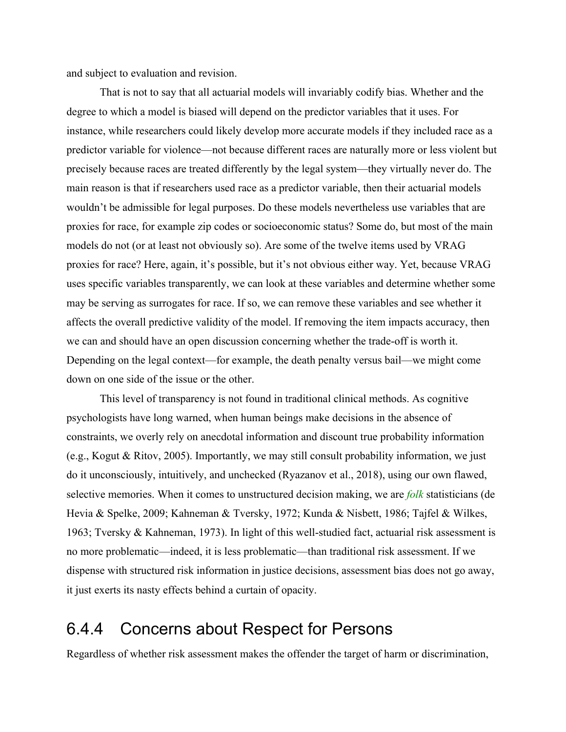and subject to evaluation and revision.

That is not to say that all actuarial models will invariably codify bias. Whether and the degree to which a model is biased will depend on the predictor variables that it uses. For instance, while researchers could likely develop more accurate models if they included race as a predictor variable for violence—not because different races are naturally more or less violent but precisely because races are treated differently by the legal system—they virtually never do. The main reason is that if researchers used race as a predictor variable, then their actuarial models wouldn't be admissible for legal purposes. Do these models nevertheless use variables that are proxies for race, for example zip codes or socioeconomic status? Some do, but most of the main models do not (or at least not obviously so). Are some of the twelve items used by VRAG proxies for race? Here, again, it's possible, but it's not obvious either way. Yet, because VRAG uses specific variables transparently, we can look at these variables and determine whether some may be serving as surrogates for race. If so, we can remove these variables and see whether it affects the overall predictive validity of the model. If removing the item impacts accuracy, then we can and should have an open discussion concerning whether the trade-off is worth it. Depending on the legal context—for example, the death penalty versus bail—we might come down on one side of the issue or the other.

This level of transparency is not found in traditional clinical methods. As cognitive psychologists have long warned, when human beings make decisions in the absence of constraints, we overly rely on anecdotal information and discount true probability information (e.g., Kogut & Ritov, 2005). Importantly, we may still consult probability information, we just do it unconsciously, intuitively, and unchecked (Ryazanov et al., 2018), using our own flawed, selective memories. When it comes to unstructured decision making, we are *folk* statisticians (de Hevia & Spelke, 2009; Kahneman & Tversky, 1972; Kunda & Nisbett, 1986; Tajfel & Wilkes, 1963; Tversky & Kahneman, 1973). In light of this well-studied fact, actuarial risk assessment is no more problematic—indeed, it is less problematic—than traditional risk assessment. If we dispense with structured risk information in justice decisions, assessment bias does not go away, it just exerts its nasty effects behind a curtain of opacity.

### 6.4.4 Concerns about Respect for Persons

Regardless of whether risk assessment makes the offender the target of harm or discrimination,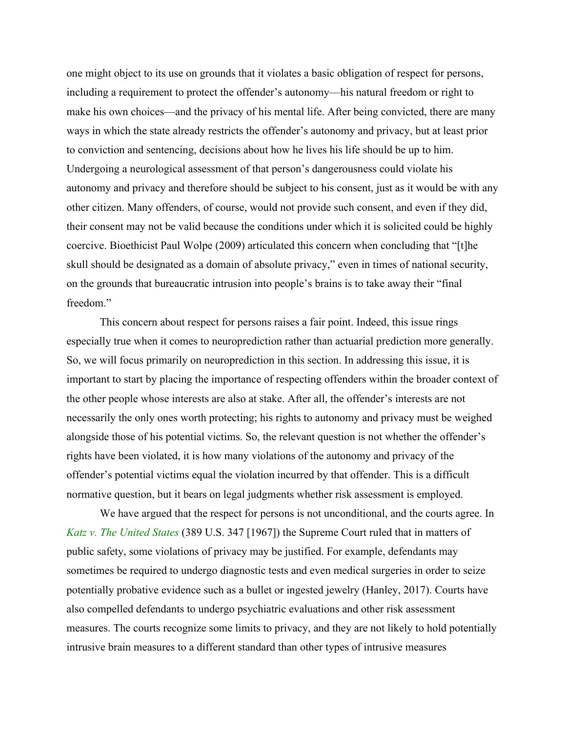one might object to its use on grounds that it violates a basic obligation of respect for persons, including a requirement to protect the offender's autonomy—his natural freedom or right to make his own choices—and the privacy of his mental life. After being convicted, there are many ways in which the state already restricts the offender's autonomy and privacy, but at least prior to conviction and sentencing, decisions about how he lives his life should be up to him. Undergoing a neurological assessment of that person's dangerousness could violate his autonomy and privacy and therefore should be subject to his consent, just as it would be with any other citizen. Many offenders, of course, would not provide such consent, and even if they did, their consent may not be valid because the conditions under which it is solicited could be highly coercive. Bioethicist Paul Wolpe (2009) articulated this concern when concluding that "[t]he skull should be designated as a domain of absolute privacy," even in times of national security, on the grounds that bureaucratic intrusion into people's brains is to take away their "final freedom."

This concern about respect for persons raises a fair point. Indeed, this issue rings especially true when it comes to neuroprediction rather than actuarial prediction more generally. So, we will focus primarily on neuroprediction in this section. In addressing this issue, it is important to start by placing the importance of respecting offenders within the broader context of the other people whose interests are also at stake. After all, the offender's interests are not necessarily the only ones worth protecting; his rights to autonomy and privacy must be weighed alongside those of his potential victims. So, the relevant question is not whether the offender's rights have been violated, it is how many violations of the autonomy and privacy of the offender's potential victims equal the violation incurred by that offender. This is a difficult normative question, but it bears on legal judgments whether risk assessment is employed.

We have argued that the respect for persons is not unconditional, and the courts agree. In *Katz v. The United States* (389 U.S. 347 [1967]) the Supreme Court ruled that in matters of public safety, some violations of privacy may be justified. For example, defendants may sometimes be required to undergo diagnostic tests and even medical surgeries in order to seize potentially probative evidence such as a bullet or ingested jewelry (Hanley, 2017). Courts have also compelled defendants to undergo psychiatric evaluations and other risk assessment measures. The courts recognize some limits to privacy, and they are not likely to hold potentially intrusive brain measures to a different standard than other types of intrusive measures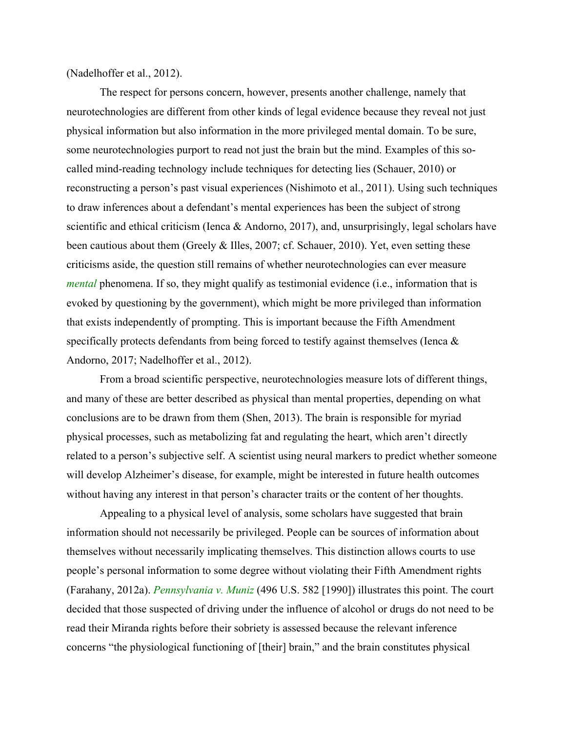(Nadelhoffer et al., 2012).

The respect for persons concern, however, presents another challenge, namely that neurotechnologies are different from other kinds of legal evidence because they reveal not just physical information but also information in the more privileged mental domain. To be sure, some neurotechnologies purport to read not just the brain but the mind. Examples of this socalled mind-reading technology include techniques for detecting lies (Schauer, 2010) or reconstructing a person's past visual experiences (Nishimoto et al., 2011). Using such techniques to draw inferences about a defendant's mental experiences has been the subject of strong scientific and ethical criticism (Ienca & Andorno, 2017), and, unsurprisingly, legal scholars have been cautious about them (Greely & Illes, 2007; cf. Schauer, 2010). Yet, even setting these criticisms aside, the question still remains of whether neurotechnologies can ever measure *mental* phenomena. If so, they might qualify as testimonial evidence (i.e., information that is evoked by questioning by the government), which might be more privileged than information that exists independently of prompting. This is important because the Fifth Amendment specifically protects defendants from being forced to testify against themselves (Ienca & Andorno, 2017; Nadelhoffer et al., 2012).

From a broad scientific perspective, neurotechnologies measure lots of different things, and many of these are better described as physical than mental properties, depending on what conclusions are to be drawn from them (Shen, 2013). The brain is responsible for myriad physical processes, such as metabolizing fat and regulating the heart, which aren't directly related to a person's subjective self. A scientist using neural markers to predict whether someone will develop Alzheimer's disease, for example, might be interested in future health outcomes without having any interest in that person's character traits or the content of her thoughts.

Appealing to a physical level of analysis, some scholars have suggested that brain information should not necessarily be privileged. People can be sources of information about themselves without necessarily implicating themselves. This distinction allows courts to use people's personal information to some degree without violating their Fifth Amendment rights (Farahany, 2012a). *Pennsylvania v. Muniz* (496 U.S. 582 [1990]) illustrates this point. The court decided that those suspected of driving under the influence of alcohol or drugs do not need to be read their Miranda rights before their sobriety is assessed because the relevant inference concerns "the physiological functioning of [their] brain," and the brain constitutes physical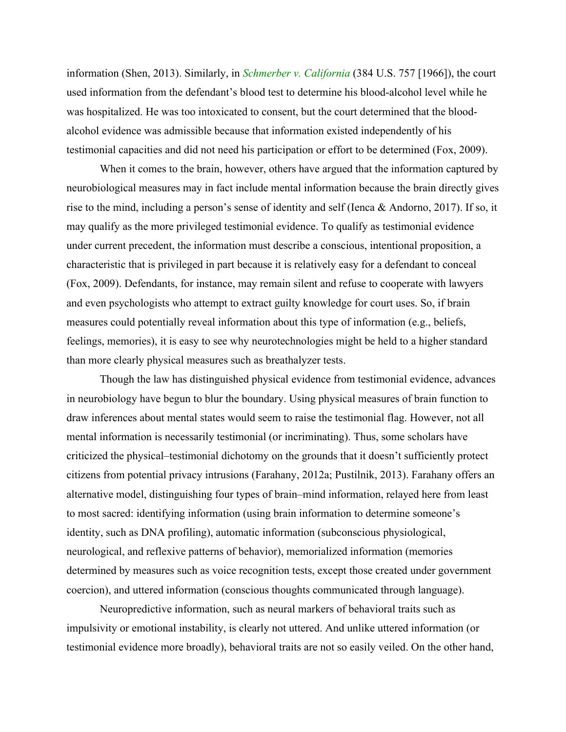information (Shen, 2013). Similarly, in *Schmerber v. California* (384 U.S. 757 [1966]), the court used information from the defendant's blood test to determine his blood-alcohol level while he was hospitalized. He was too intoxicated to consent, but the court determined that the bloodalcohol evidence was admissible because that information existed independently of his testimonial capacities and did not need his participation or effort to be determined (Fox, 2009).

When it comes to the brain, however, others have argued that the information captured by neurobiological measures may in fact include mental information because the brain directly gives rise to the mind, including a person's sense of identity and self (Ienca & Andorno, 2017). If so, it may qualify as the more privileged testimonial evidence. To qualify as testimonial evidence under current precedent, the information must describe a conscious, intentional proposition, a characteristic that is privileged in part because it is relatively easy for a defendant to conceal (Fox, 2009). Defendants, for instance, may remain silent and refuse to cooperate with lawyers and even psychologists who attempt to extract guilty knowledge for court uses. So, if brain measures could potentially reveal information about this type of information (e.g., beliefs, feelings, memories), it is easy to see why neurotechnologies might be held to a higher standard than more clearly physical measures such as breathalyzer tests.

Though the law has distinguished physical evidence from testimonial evidence, advances in neurobiology have begun to blur the boundary. Using physical measures of brain function to draw inferences about mental states would seem to raise the testimonial flag. However, not all mental information is necessarily testimonial (or incriminating). Thus, some scholars have criticized the physical–testimonial dichotomy on the grounds that it doesn't sufficiently protect citizens from potential privacy intrusions (Farahany, 2012a; Pustilnik, 2013). Farahany offers an alternative model, distinguishing four types of brain–mind information, relayed here from least to most sacred: identifying information (using brain information to determine someone's identity, such as DNA profiling), automatic information (subconscious physiological, neurological, and reflexive patterns of behavior), memorialized information (memories determined by measures such as voice recognition tests, except those created under government coercion), and uttered information (conscious thoughts communicated through language).

Neuropredictive information, such as neural markers of behavioral traits such as impulsivity or emotional instability, is clearly not uttered. And unlike uttered information (or testimonial evidence more broadly), behavioral traits are not so easily veiled. On the other hand,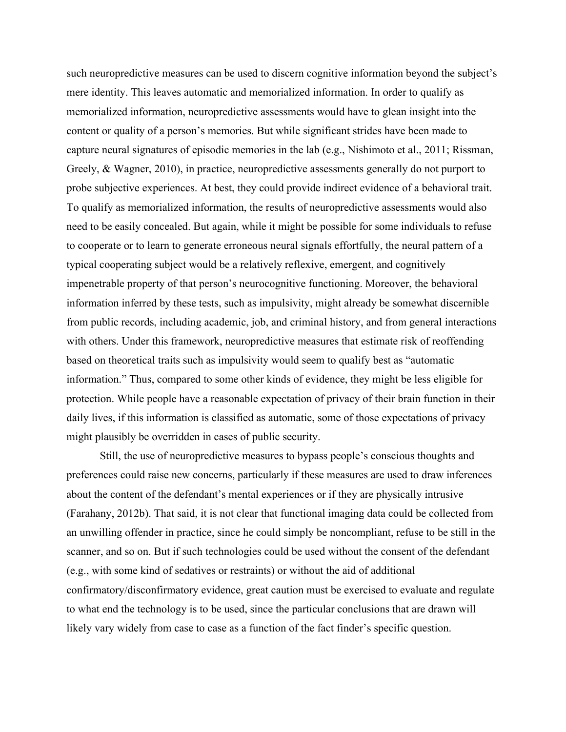such neuropredictive measures can be used to discern cognitive information beyond the subject's mere identity. This leaves automatic and memorialized information. In order to qualify as memorialized information, neuropredictive assessments would have to glean insight into the content or quality of a person's memories. But while significant strides have been made to capture neural signatures of episodic memories in the lab (e.g., Nishimoto et al., 2011; Rissman, Greely, & Wagner, 2010), in practice, neuropredictive assessments generally do not purport to probe subjective experiences. At best, they could provide indirect evidence of a behavioral trait. To qualify as memorialized information, the results of neuropredictive assessments would also need to be easily concealed. But again, while it might be possible for some individuals to refuse to cooperate or to learn to generate erroneous neural signals effortfully, the neural pattern of a typical cooperating subject would be a relatively reflexive, emergent, and cognitively impenetrable property of that person's neurocognitive functioning. Moreover, the behavioral information inferred by these tests, such as impulsivity, might already be somewhat discernible from public records, including academic, job, and criminal history, and from general interactions with others. Under this framework, neuropredictive measures that estimate risk of reoffending based on theoretical traits such as impulsivity would seem to qualify best as "automatic information." Thus, compared to some other kinds of evidence, they might be less eligible for protection. While people have a reasonable expectation of privacy of their brain function in their daily lives, if this information is classified as automatic, some of those expectations of privacy might plausibly be overridden in cases of public security.

Still, the use of neuropredictive measures to bypass people's conscious thoughts and preferences could raise new concerns, particularly if these measures are used to draw inferences about the content of the defendant's mental experiences or if they are physically intrusive (Farahany, 2012b). That said, it is not clear that functional imaging data could be collected from an unwilling offender in practice, since he could simply be noncompliant, refuse to be still in the scanner, and so on. But if such technologies could be used without the consent of the defendant (e.g., with some kind of sedatives or restraints) or without the aid of additional confirmatory/disconfirmatory evidence, great caution must be exercised to evaluate and regulate to what end the technology is to be used, since the particular conclusions that are drawn will likely vary widely from case to case as a function of the fact finder's specific question.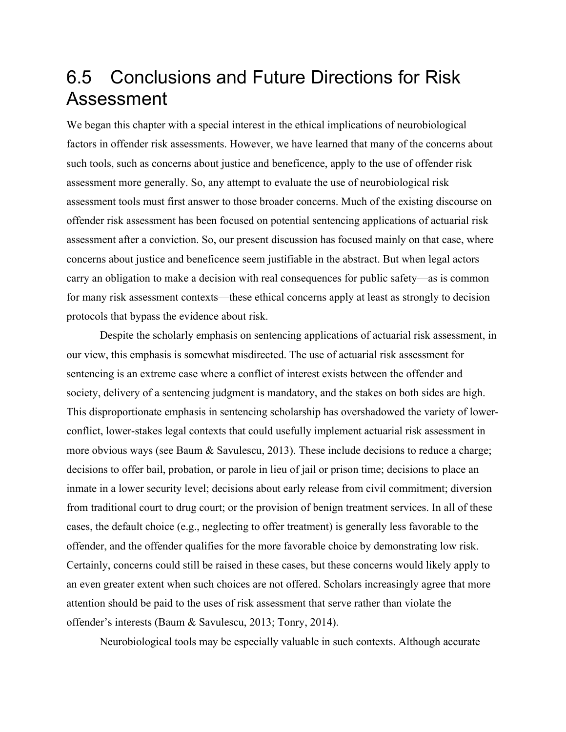## 6.5 Conclusions and Future Directions for Risk Assessment

We began this chapter with a special interest in the ethical implications of neurobiological factors in offender risk assessments. However, we have learned that many of the concerns about such tools, such as concerns about justice and beneficence, apply to the use of offender risk assessment more generally. So, any attempt to evaluate the use of neurobiological risk assessment tools must first answer to those broader concerns. Much of the existing discourse on offender risk assessment has been focused on potential sentencing applications of actuarial risk assessment after a conviction. So, our present discussion has focused mainly on that case, where concerns about justice and beneficence seem justifiable in the abstract. But when legal actors carry an obligation to make a decision with real consequences for public safety—as is common for many risk assessment contexts—these ethical concerns apply at least as strongly to decision protocols that bypass the evidence about risk.

Despite the scholarly emphasis on sentencing applications of actuarial risk assessment, in our view, this emphasis is somewhat misdirected. The use of actuarial risk assessment for sentencing is an extreme case where a conflict of interest exists between the offender and society, delivery of a sentencing judgment is mandatory, and the stakes on both sides are high. This disproportionate emphasis in sentencing scholarship has overshadowed the variety of lowerconflict, lower-stakes legal contexts that could usefully implement actuarial risk assessment in more obvious ways (see Baum & Savulescu, 2013). These include decisions to reduce a charge; decisions to offer bail, probation, or parole in lieu of jail or prison time; decisions to place an inmate in a lower security level; decisions about early release from civil commitment; diversion from traditional court to drug court; or the provision of benign treatment services. In all of these cases, the default choice (e.g., neglecting to offer treatment) is generally less favorable to the offender, and the offender qualifies for the more favorable choice by demonstrating low risk. Certainly, concerns could still be raised in these cases, but these concerns would likely apply to an even greater extent when such choices are not offered. Scholars increasingly agree that more attention should be paid to the uses of risk assessment that serve rather than violate the offender's interests (Baum & Savulescu, 2013; Tonry, 2014).

Neurobiological tools may be especially valuable in such contexts. Although accurate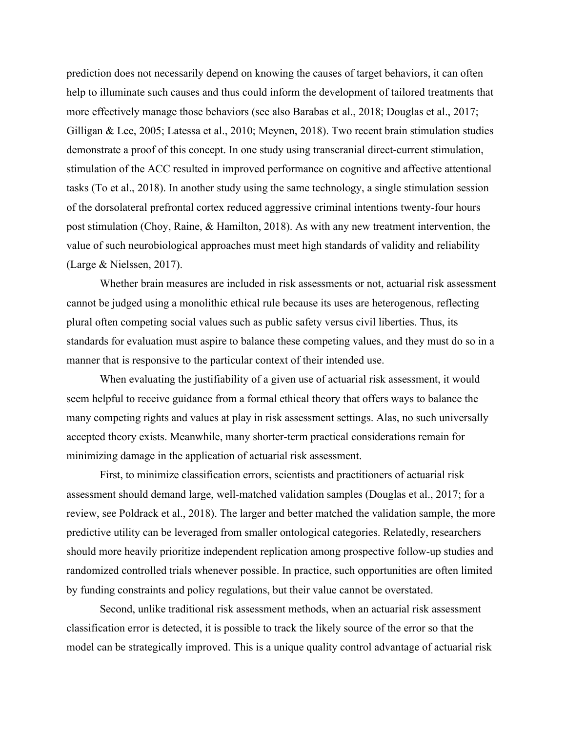prediction does not necessarily depend on knowing the causes of target behaviors, it can often help to illuminate such causes and thus could inform the development of tailored treatments that more effectively manage those behaviors (see also Barabas et al., 2018; Douglas et al., 2017; Gilligan & Lee, 2005; Latessa et al., 2010; Meynen, 2018). Two recent brain stimulation studies demonstrate a proof of this concept. In one study using transcranial direct-current stimulation, stimulation of the ACC resulted in improved performance on cognitive and affective attentional tasks (To et al., 2018). In another study using the same technology, a single stimulation session of the dorsolateral prefrontal cortex reduced aggressive criminal intentions twenty-four hours post stimulation (Choy, Raine, & Hamilton, 2018). As with any new treatment intervention, the value of such neurobiological approaches must meet high standards of validity and reliability (Large & Nielssen, 2017).

Whether brain measures are included in risk assessments or not, actuarial risk assessment cannot be judged using a monolithic ethical rule because its uses are heterogenous, reflecting plural often competing social values such as public safety versus civil liberties. Thus, its standards for evaluation must aspire to balance these competing values, and they must do so in a manner that is responsive to the particular context of their intended use.

When evaluating the justifiability of a given use of actuarial risk assessment, it would seem helpful to receive guidance from a formal ethical theory that offers ways to balance the many competing rights and values at play in risk assessment settings. Alas, no such universally accepted theory exists. Meanwhile, many shorter-term practical considerations remain for minimizing damage in the application of actuarial risk assessment.

First, to minimize classification errors, scientists and practitioners of actuarial risk assessment should demand large, well-matched validation samples (Douglas et al., 2017; for a review, see Poldrack et al., 2018). The larger and better matched the validation sample, the more predictive utility can be leveraged from smaller ontological categories. Relatedly, researchers should more heavily prioritize independent replication among prospective follow-up studies and randomized controlled trials whenever possible. In practice, such opportunities are often limited by funding constraints and policy regulations, but their value cannot be overstated.

Second, unlike traditional risk assessment methods, when an actuarial risk assessment classification error is detected, it is possible to track the likely source of the error so that the model can be strategically improved. This is a unique quality control advantage of actuarial risk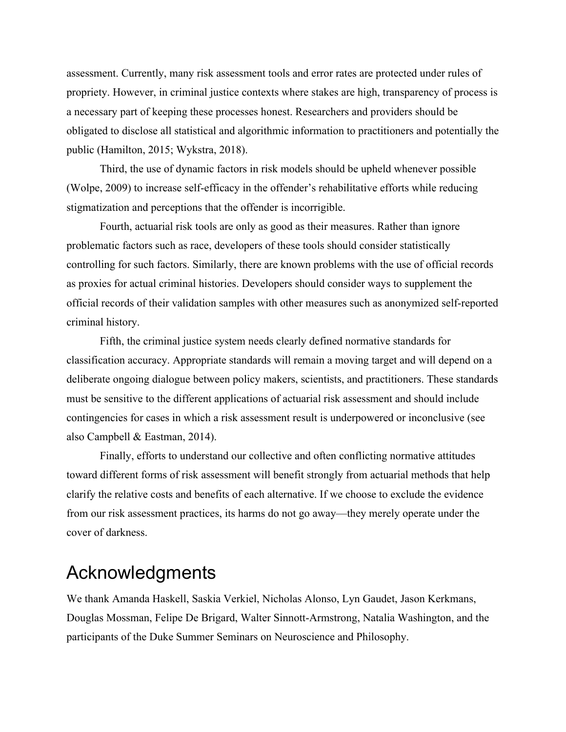assessment. Currently, many risk assessment tools and error rates are protected under rules of propriety. However, in criminal justice contexts where stakes are high, transparency of process is a necessary part of keeping these processes honest. Researchers and providers should be obligated to disclose all statistical and algorithmic information to practitioners and potentially the public (Hamilton, 2015; Wykstra, 2018).

Third, the use of dynamic factors in risk models should be upheld whenever possible (Wolpe, 2009) to increase self-efficacy in the offender's rehabilitative efforts while reducing stigmatization and perceptions that the offender is incorrigible.

Fourth, actuarial risk tools are only as good as their measures. Rather than ignore problematic factors such as race, developers of these tools should consider statistically controlling for such factors. Similarly, there are known problems with the use of official records as proxies for actual criminal histories. Developers should consider ways to supplement the official records of their validation samples with other measures such as anonymized self-reported criminal history.

Fifth, the criminal justice system needs clearly defined normative standards for classification accuracy. Appropriate standards will remain a moving target and will depend on a deliberate ongoing dialogue between policy makers, scientists, and practitioners. These standards must be sensitive to the different applications of actuarial risk assessment and should include contingencies for cases in which a risk assessment result is underpowered or inconclusive (see also Campbell & Eastman, 2014).

Finally, efforts to understand our collective and often conflicting normative attitudes toward different forms of risk assessment will benefit strongly from actuarial methods that help clarify the relative costs and benefits of each alternative. If we choose to exclude the evidence from our risk assessment practices, its harms do not go away—they merely operate under the cover of darkness.

## Acknowledgments

We thank Amanda Haskell, Saskia Verkiel, Nicholas Alonso, Lyn Gaudet, Jason Kerkmans, Douglas Mossman, Felipe De Brigard, Walter Sinnott-Armstrong, Natalia Washington, and the participants of the Duke Summer Seminars on Neuroscience and Philosophy.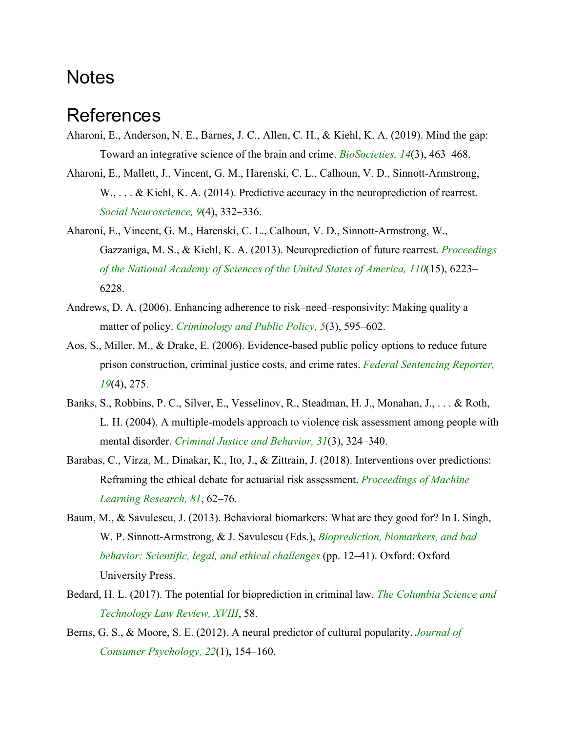#### **Notes**

## References

- Aharoni, E., Anderson, N. E., Barnes, J. C., Allen, C. H., & Kiehl, K. A. (2019). Mind the gap: Toward an integrative science of the brain and crime. *BioSocieties, 14*(3), 463–468.
- Aharoni, E., Mallett, J., Vincent, G. M., Harenski, C. L., Calhoun, V. D., Sinnott-Armstrong, W., ... & Kiehl, K. A. (2014). Predictive accuracy in the neuroprediction of rearrest. *Social Neuroscience, 9*(4), 332–336.
- Aharoni, E., Vincent, G. M., Harenski, C. L., Calhoun, V. D., Sinnott-Armstrong, W., Gazzaniga, M. S., & Kiehl, K. A. (2013). Neuroprediction of future rearrest. *Proceedings of the National Academy of Sciences of the United States of America, 110*(15), 6223– 6228.
- Andrews, D. A. (2006). Enhancing adherence to risk–need–responsivity: Making quality a matter of policy. *Criminology and Public Policy, 5*(3), 595–602.
- Aos, S., Miller, M., & Drake, E. (2006). Evidence-based public policy options to reduce future prison construction, criminal justice costs, and crime rates. *Federal Sentencing Reporter, 19*(4), 275.
- Banks, S., Robbins, P. C., Silver, E., Vesselinov, R., Steadman, H. J., Monahan, J., . . . & Roth, L. H. (2004). A multiple-models approach to violence risk assessment among people with mental disorder. *Criminal Justice and Behavior, 31*(3), 324–340.
- Barabas, C., Virza, M., Dinakar, K., Ito, J., & Zittrain, J. (2018). Interventions over predictions: Reframing the ethical debate for actuarial risk assessment. *Proceedings of Machine Learning Research, 81*, 62–76.
- Baum, M., & Savulescu, J. (2013). Behavioral biomarkers: What are they good for? In I. Singh, W. P. Sinnott-Armstrong, & J. Savulescu (Eds.), *Bioprediction, biomarkers, and bad behavior: Scientific, legal, and ethical challenges* (pp. 12–41). Oxford: Oxford University Press.
- Bedard, H. L. (2017). The potential for bioprediction in criminal law. *The Columbia Science and Technology Law Review, XVIII*, 58.
- Berns, G. S., & Moore, S. E. (2012). A neural predictor of cultural popularity. *Journal of Consumer Psychology, 22*(1), 154–160.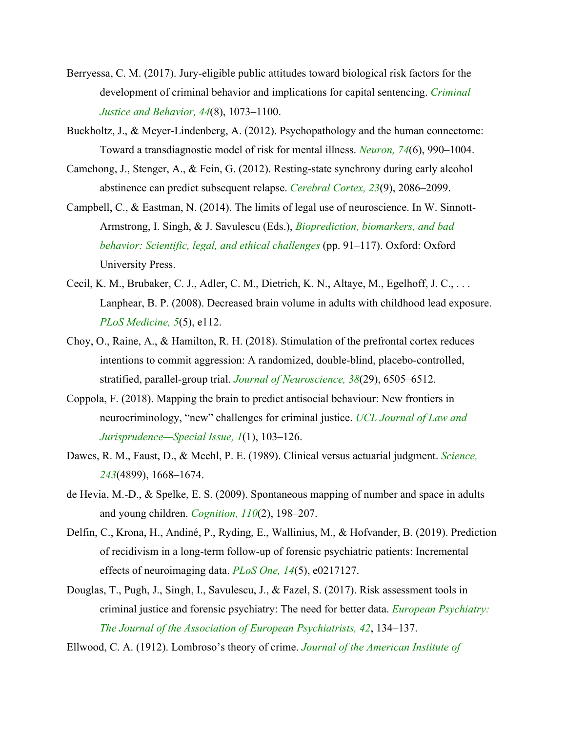- Berryessa, C. M. (2017). Jury-eligible public attitudes toward biological risk factors for the development of criminal behavior and implications for capital sentencing. *Criminal Justice and Behavior, 44*(8), 1073–1100.
- Buckholtz, J., & Meyer-Lindenberg, A. (2012). Psychopathology and the human connectome: Toward a transdiagnostic model of risk for mental illness. *Neuron, 74*(6), 990–1004.
- Camchong, J., Stenger, A., & Fein, G. (2012). Resting-state synchrony during early alcohol abstinence can predict subsequent relapse. *Cerebral Cortex, 23*(9), 2086–2099.
- Campbell, C., & Eastman, N. (2014). The limits of legal use of neuroscience. In W. Sinnott-Armstrong, I. Singh, & J. Savulescu (Eds.), *Bioprediction, biomarkers, and bad behavior: Scientific, legal, and ethical challenges* (pp. 91–117). Oxford: Oxford University Press.
- Cecil, K. M., Brubaker, C. J., Adler, C. M., Dietrich, K. N., Altaye, M., Egelhoff, J. C., . . . Lanphear, B. P. (2008). Decreased brain volume in adults with childhood lead exposure. *PLoS Medicine, 5*(5), e112.
- Choy, O., Raine, A., & Hamilton, R. H. (2018). Stimulation of the prefrontal cortex reduces intentions to commit aggression: A randomized, double-blind, placebo-controlled, stratified, parallel-group trial. *Journal of Neuroscience, 38*(29), 6505–6512.
- Coppola, F. (2018). Mapping the brain to predict antisocial behaviour: New frontiers in neurocriminology, "new" challenges for criminal justice. *UCL Journal of Law and Jurisprudence—Special Issue, 1*(1), 103–126.
- Dawes, R. M., Faust, D., & Meehl, P. E. (1989). Clinical versus actuarial judgment. *Science, 243*(4899), 1668–1674.
- de Hevia, M.-D., & Spelke, E. S. (2009). Spontaneous mapping of number and space in adults and young children. *Cognition, 110*(2), 198–207.
- Delfin, C., Krona, H., Andiné, P., Ryding, E., Wallinius, M., & Hofvander, B. (2019). Prediction of recidivism in a long-term follow-up of forensic psychiatric patients: Incremental effects of neuroimaging data. *PLoS One, 14*(5), e0217127.
- Douglas, T., Pugh, J., Singh, I., Savulescu, J., & Fazel, S. (2017). Risk assessment tools in criminal justice and forensic psychiatry: The need for better data. *European Psychiatry: The Journal of the Association of European Psychiatrists, 42*, 134–137.

Ellwood, C. A. (1912). Lombroso's theory of crime. *Journal of the American Institute of*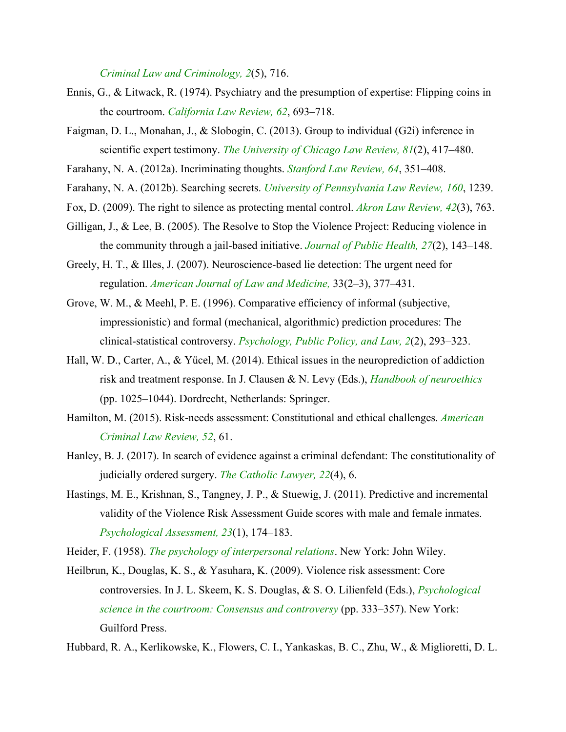*Criminal Law and Criminology, 2*(5), 716.

- Ennis, G., & Litwack, R. (1974). Psychiatry and the presumption of expertise: Flipping coins in the courtroom. *California Law Review, 62*, 693–718.
- Faigman, D. L., Monahan, J., & Slobogin, C. (2013). Group to individual (G2i) inference in scientific expert testimony. *The University of Chicago Law Review, 81*(2), 417–480.
- Farahany, N. A. (2012a). Incriminating thoughts. *Stanford Law Review, 64*, 351–408.
- Farahany, N. A. (2012b). Searching secrets. *University of Pennsylvania Law Review, 160*, 1239.
- Fox, D. (2009). The right to silence as protecting mental control. *Akron Law Review, 42*(3), 763.
- Gilligan, J., & Lee, B. (2005). The Resolve to Stop the Violence Project: Reducing violence in the community through a jail-based initiative. *Journal of Public Health, 27*(2), 143–148.
- Greely, H. T., & Illes, J. (2007). Neuroscience-based lie detection: The urgent need for regulation. *American Journal of Law and Medicine,* 33(2–3), 377–431.
- Grove, W. M., & Meehl, P. E. (1996). Comparative efficiency of informal (subjective, impressionistic) and formal (mechanical, algorithmic) prediction procedures: The clinical-statistical controversy. *Psychology, Public Policy, and Law, 2*(2), 293–323.
- Hall, W. D., Carter, A., & Yücel, M. (2014). Ethical issues in the neuroprediction of addiction risk and treatment response. In J. Clausen & N. Levy (Eds.), *Handbook of neuroethics* (pp. 1025–1044). Dordrecht, Netherlands: Springer.
- Hamilton, M. (2015). Risk-needs assessment: Constitutional and ethical challenges. *American Criminal Law Review, 52*, 61.
- Hanley, B. J. (2017). In search of evidence against a criminal defendant: The constitutionality of judicially ordered surgery. *The Catholic Lawyer, 22*(4), 6.
- Hastings, M. E., Krishnan, S., Tangney, J. P., & Stuewig, J. (2011). Predictive and incremental validity of the Violence Risk Assessment Guide scores with male and female inmates. *Psychological Assessment, 23*(1), 174–183.
- Heider, F. (1958). *The psychology of interpersonal relations*. New York: John Wiley.
- Heilbrun, K., Douglas, K. S., & Yasuhara, K. (2009). Violence risk assessment: Core controversies. In J. L. Skeem, K. S. Douglas, & S. O. Lilienfeld (Eds.), *Psychological science in the courtroom: Consensus and controversy* (pp. 333–357). New York: Guilford Press.

Hubbard, R. A., Kerlikowske, K., Flowers, C. I., Yankaskas, B. C., Zhu, W., & Miglioretti, D. L.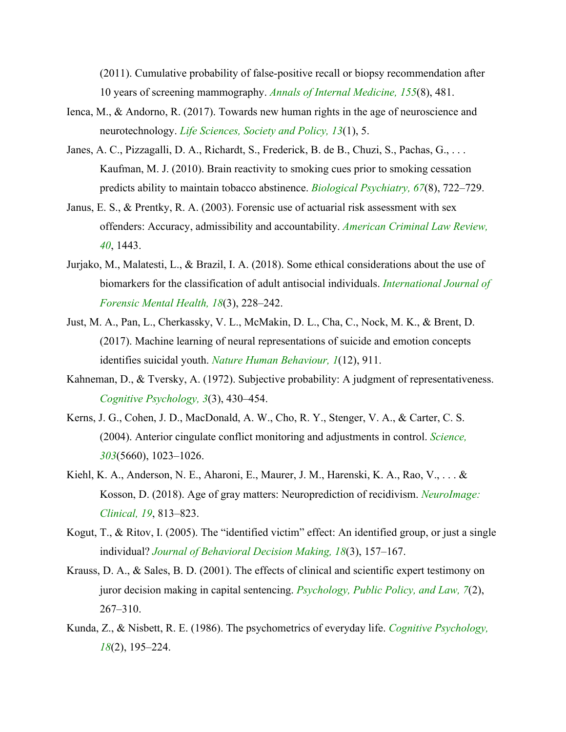(2011). Cumulative probability of false-positive recall or biopsy recommendation after 10 years of screening mammography. *Annals of Internal Medicine, 155*(8), 481.

- Ienca, M., & Andorno, R. (2017). Towards new human rights in the age of neuroscience and neurotechnology. *Life Sciences, Society and Policy, 13*(1), 5.
- Janes, A. C., Pizzagalli, D. A., Richardt, S., Frederick, B. de B., Chuzi, S., Pachas, G., ... Kaufman, M. J. (2010). Brain reactivity to smoking cues prior to smoking cessation predicts ability to maintain tobacco abstinence. *Biological Psychiatry, 67*(8), 722–729.
- Janus, E. S., & Prentky, R. A. (2003). Forensic use of actuarial risk assessment with sex offenders: Accuracy, admissibility and accountability. *American Criminal Law Review, 40*, 1443.
- Jurjako, M., Malatesti, L., & Brazil, I. A. (2018). Some ethical considerations about the use of biomarkers for the classification of adult antisocial individuals. *International Journal of Forensic Mental Health, 18*(3), 228–242.
- Just, M. A., Pan, L., Cherkassky, V. L., McMakin, D. L., Cha, C., Nock, M. K., & Brent, D. (2017). Machine learning of neural representations of suicide and emotion concepts identifies suicidal youth. *Nature Human Behaviour, 1*(12), 911.
- Kahneman, D., & Tversky, A. (1972). Subjective probability: A judgment of representativeness. *Cognitive Psychology, 3*(3), 430–454.
- Kerns, J. G., Cohen, J. D., MacDonald, A. W., Cho, R. Y., Stenger, V. A., & Carter, C. S. (2004). Anterior cingulate conflict monitoring and adjustments in control. *Science, 303*(5660), 1023–1026.
- Kiehl, K. A., Anderson, N. E., Aharoni, E., Maurer, J. M., Harenski, K. A., Rao, V., . . . & Kosson, D. (2018). Age of gray matters: Neuroprediction of recidivism. *NeuroImage: Clinical, 19*, 813–823.
- Kogut, T., & Ritov, I. (2005). The "identified victim" effect: An identified group, or just a single individual? *Journal of Behavioral Decision Making, 18*(3), 157–167.
- Krauss, D. A., & Sales, B. D. (2001). The effects of clinical and scientific expert testimony on juror decision making in capital sentencing. *Psychology, Public Policy, and Law, 7*(2), 267–310.
- Kunda, Z., & Nisbett, R. E. (1986). The psychometrics of everyday life. *Cognitive Psychology, 18*(2), 195–224.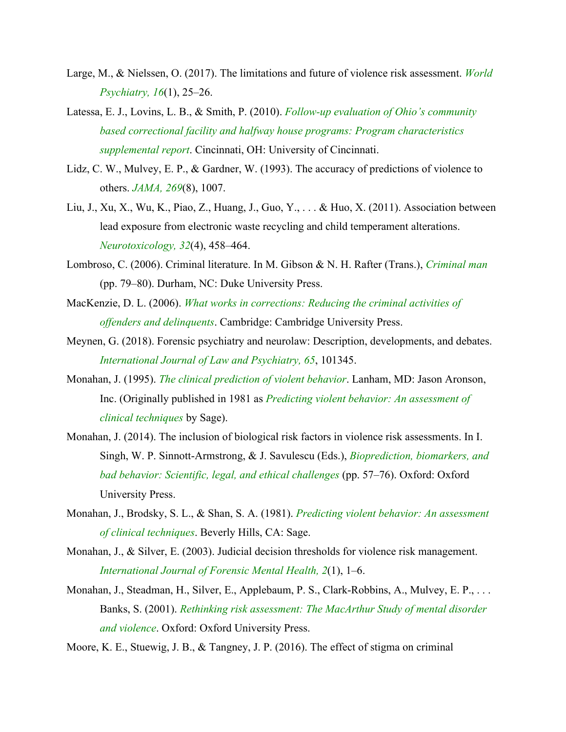- Large, M., & Nielssen, O. (2017). The limitations and future of violence risk assessment. *World Psychiatry, 16*(1), 25–26.
- Latessa, E. J., Lovins, L. B., & Smith, P. (2010). *Follow-up evaluation of Ohio's community based correctional facility and halfway house programs: Program characteristics supplemental report*. Cincinnati, OH: University of Cincinnati.
- Lidz, C. W., Mulvey, E. P., & Gardner, W. (1993). The accuracy of predictions of violence to others. *JAMA, 269*(8), 1007.
- Liu, J., Xu, X., Wu, K., Piao, Z., Huang, J., Guo, Y., . . . & Huo, X. (2011). Association between lead exposure from electronic waste recycling and child temperament alterations. *Neurotoxicology, 32*(4), 458–464.
- Lombroso, C. (2006). Criminal literature. In M. Gibson & N. H. Rafter (Trans.), *Criminal man* (pp. 79–80). Durham, NC: Duke University Press.
- MacKenzie, D. L. (2006). *What works in corrections: Reducing the criminal activities of offenders and delinquents*. Cambridge: Cambridge University Press.
- Meynen, G. (2018). Forensic psychiatry and neurolaw: Description, developments, and debates. *International Journal of Law and Psychiatry, 65*, 101345.
- Monahan, J. (1995). *The clinical prediction of violent behavior*. Lanham, MD: Jason Aronson, Inc. (Originally published in 1981 as *Predicting violent behavior: An assessment of clinical techniques* by Sage).
- Monahan, J. (2014). The inclusion of biological risk factors in violence risk assessments. In I. Singh, W. P. Sinnott-Armstrong, & J. Savulescu (Eds.), *Bioprediction, biomarkers, and bad behavior: Scientific, legal, and ethical challenges* (pp. 57–76). Oxford: Oxford University Press.
- Monahan, J., Brodsky, S. L., & Shan, S. A. (1981). *Predicting violent behavior: An assessment of clinical techniques*. Beverly Hills, CA: Sage.
- Monahan, J., & Silver, E. (2003). Judicial decision thresholds for violence risk management. *International Journal of Forensic Mental Health, 2*(1), 1–6.
- Monahan, J., Steadman, H., Silver, E., Applebaum, P. S., Clark-Robbins, A., Mulvey, E. P., ... Banks, S. (2001). *Rethinking risk assessment: The MacArthur Study of mental disorder and violence*. Oxford: Oxford University Press.
- Moore, K. E., Stuewig, J. B., & Tangney, J. P. (2016). The effect of stigma on criminal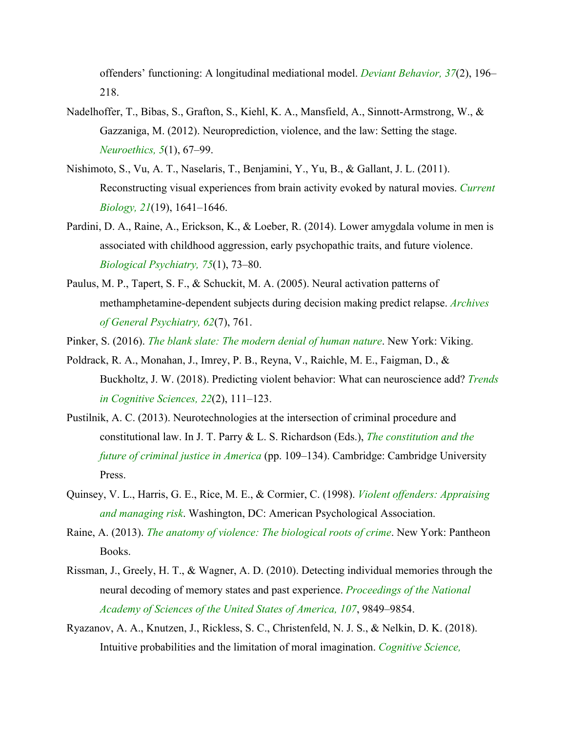offenders' functioning: A longitudinal mediational model. *Deviant Behavior, 37*(2), 196– 218.

- Nadelhoffer, T., Bibas, S., Grafton, S., Kiehl, K. A., Mansfield, A., Sinnott-Armstrong, W., & Gazzaniga, M. (2012). Neuroprediction, violence, and the law: Setting the stage. *Neuroethics, 5*(1), 67–99.
- Nishimoto, S., Vu, A. T., Naselaris, T., Benjamini, Y., Yu, B., & Gallant, J. L. (2011). Reconstructing visual experiences from brain activity evoked by natural movies. *Current Biology, 21*(19), 1641–1646.
- Pardini, D. A., Raine, A., Erickson, K., & Loeber, R. (2014). Lower amygdala volume in men is associated with childhood aggression, early psychopathic traits, and future violence. *Biological Psychiatry, 75*(1), 73–80.
- Paulus, M. P., Tapert, S. F., & Schuckit, M. A. (2005). Neural activation patterns of methamphetamine-dependent subjects during decision making predict relapse. *Archives of General Psychiatry, 62*(7), 761.

Pinker, S. (2016). *The blank slate: The modern denial of human nature*. New York: Viking.

- Poldrack, R. A., Monahan, J., Imrey, P. B., Reyna, V., Raichle, M. E., Faigman, D., & Buckholtz, J. W. (2018). Predicting violent behavior: What can neuroscience add? *Trends in Cognitive Sciences, 22*(2), 111–123.
- Pustilnik, A. C. (2013). Neurotechnologies at the intersection of criminal procedure and constitutional law. In J. T. Parry & L. S. Richardson (Eds.), *The constitution and the future of criminal justice in America* (pp. 109–134). Cambridge: Cambridge University Press.
- Quinsey, V. L., Harris, G. E., Rice, M. E., & Cormier, C. (1998). *Violent offenders: Appraising and managing risk*. Washington, DC: American Psychological Association.
- Raine, A. (2013). *The anatomy of violence: The biological roots of crime*. New York: Pantheon Books.
- Rissman, J., Greely, H. T., & Wagner, A. D. (2010). Detecting individual memories through the neural decoding of memory states and past experience. *Proceedings of the National Academy of Sciences of the United States of America, 107*, 9849–9854.
- Ryazanov, A. A., Knutzen, J., Rickless, S. C., Christenfeld, N. J. S., & Nelkin, D. K. (2018). Intuitive probabilities and the limitation of moral imagination. *Cognitive Science,*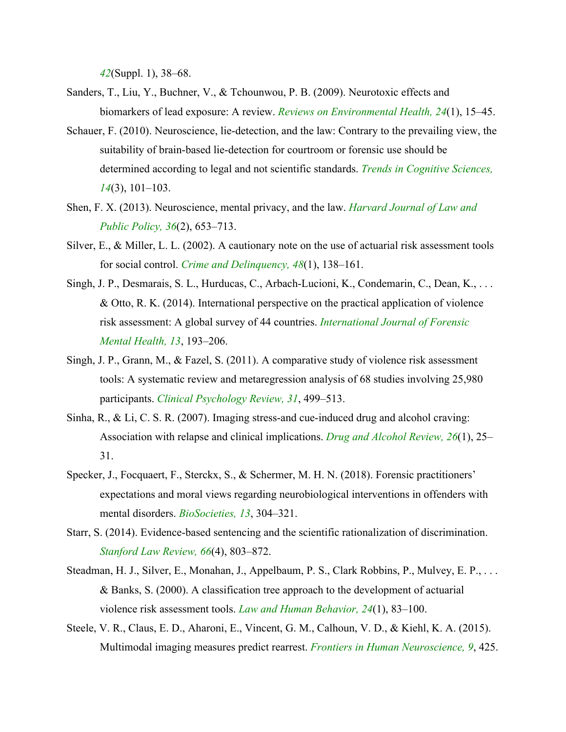*42*(Suppl. 1), 38–68.

- Sanders, T., Liu, Y., Buchner, V., & Tchounwou, P. B. (2009). Neurotoxic effects and biomarkers of lead exposure: A review. *Reviews on Environmental Health, 24*(1), 15–45.
- Schauer, F. (2010). Neuroscience, lie-detection, and the law: Contrary to the prevailing view, the suitability of brain-based lie-detection for courtroom or forensic use should be determined according to legal and not scientific standards. *Trends in Cognitive Sciences, 14*(3), 101–103.
- Shen, F. X. (2013). Neuroscience, mental privacy, and the law. *Harvard Journal of Law and Public Policy, 36*(2), 653–713.
- Silver, E., & Miller, L. L. (2002). A cautionary note on the use of actuarial risk assessment tools for social control. *Crime and Delinquency, 48*(1), 138–161.
- Singh, J. P., Desmarais, S. L., Hurducas, C., Arbach-Lucioni, K., Condemarin, C., Dean, K., . . . & Otto, R. K. (2014). International perspective on the practical application of violence risk assessment: A global survey of 44 countries. *International Journal of Forensic Mental Health, 13*, 193–206.
- Singh, J. P., Grann, M., & Fazel, S. (2011). A comparative study of violence risk assessment tools: A systematic review and metaregression analysis of 68 studies involving 25,980 participants. *Clinical Psychology Review, 31*, 499–513.
- Sinha, R., & Li, C. S. R. (2007). Imaging stress-and cue-induced drug and alcohol craving: Association with relapse and clinical implications. *Drug and Alcohol Review, 26*(1), 25– 31.
- Specker, J., Focquaert, F., Sterckx, S., & Schermer, M. H. N. (2018). Forensic practitioners' expectations and moral views regarding neurobiological interventions in offenders with mental disorders. *BioSocieties, 13*, 304–321.
- Starr, S. (2014). Evidence-based sentencing and the scientific rationalization of discrimination. *Stanford Law Review, 66*(4), 803–872.
- Steadman, H. J., Silver, E., Monahan, J., Appelbaum, P. S., Clark Robbins, P., Mulvey, E. P., . . . & Banks, S. (2000). A classification tree approach to the development of actuarial violence risk assessment tools. *Law and Human Behavior, 24*(1), 83–100.
- Steele, V. R., Claus, E. D., Aharoni, E., Vincent, G. M., Calhoun, V. D., & Kiehl, K. A. (2015). Multimodal imaging measures predict rearrest. *Frontiers in Human Neuroscience, 9*, 425.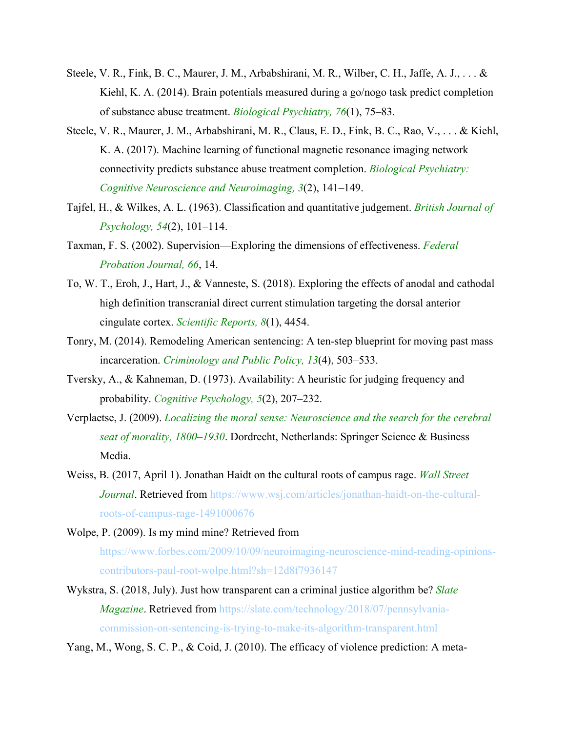- Steele, V. R., Fink, B. C., Maurer, J. M., Arbabshirani, M. R., Wilber, C. H., Jaffe, A. J., . . . & Kiehl, K. A. (2014). Brain potentials measured during a go/nogo task predict completion of substance abuse treatment. *Biological Psychiatry, 76*(1), 75–83.
- Steele, V. R., Maurer, J. M., Arbabshirani, M. R., Claus, E. D., Fink, B. C., Rao, V., . . . & Kiehl, K. A. (2017). Machine learning of functional magnetic resonance imaging network connectivity predicts substance abuse treatment completion. *Biological Psychiatry: Cognitive Neuroscience and Neuroimaging, 3*(2), 141–149.
- Tajfel, H., & Wilkes, A. L. (1963). Classification and quantitative judgement. *British Journal of Psychology, 54*(2), 101–114.
- Taxman, F. S. (2002). Supervision—Exploring the dimensions of effectiveness. *Federal Probation Journal, 66*, 14.
- To, W. T., Eroh, J., Hart, J., & Vanneste, S. (2018). Exploring the effects of anodal and cathodal high definition transcranial direct current stimulation targeting the dorsal anterior cingulate cortex. *Scientific Reports, 8*(1), 4454.
- Tonry, M. (2014). Remodeling American sentencing: A ten-step blueprint for moving past mass incarceration. *Criminology and Public Policy, 13*(4), 503–533.
- Tversky, A., & Kahneman, D. (1973). Availability: A heuristic for judging frequency and probability. *Cognitive Psychology, 5*(2), 207–232.
- Verplaetse, J. (2009). *Localizing the moral sense: Neuroscience and the search for the cerebral seat of morality, 1800–1930*. Dordrecht, Netherlands: Springer Science & Business Media.
- Weiss, B. (2017, April 1). Jonathan Haidt on the cultural roots of campus rage. *Wall Street Journal*. Retrieved from https://www.wsj.com/articles/jonathan-haidt-on-the-culturalroots-of-campus-rage-1491000676
- Wolpe, P. (2009). Is my mind mine? Retrieved from https://www.forbes.com/2009/10/09/neuroimaging-neuroscience-mind-reading-opinionscontributors-paul-root-wolpe.html?sh=12d8f7936147
- Wykstra, S. (2018, July). Just how transparent can a criminal justice algorithm be? *Slate Magazine*. Retrieved from https://slate.com/technology/2018/07/pennsylvaniacommission-on-sentencing-is-trying-to-make-its-algorithm-transparent.html

Yang, M., Wong, S. C. P., & Coid, J. (2010). The efficacy of violence prediction: A meta-